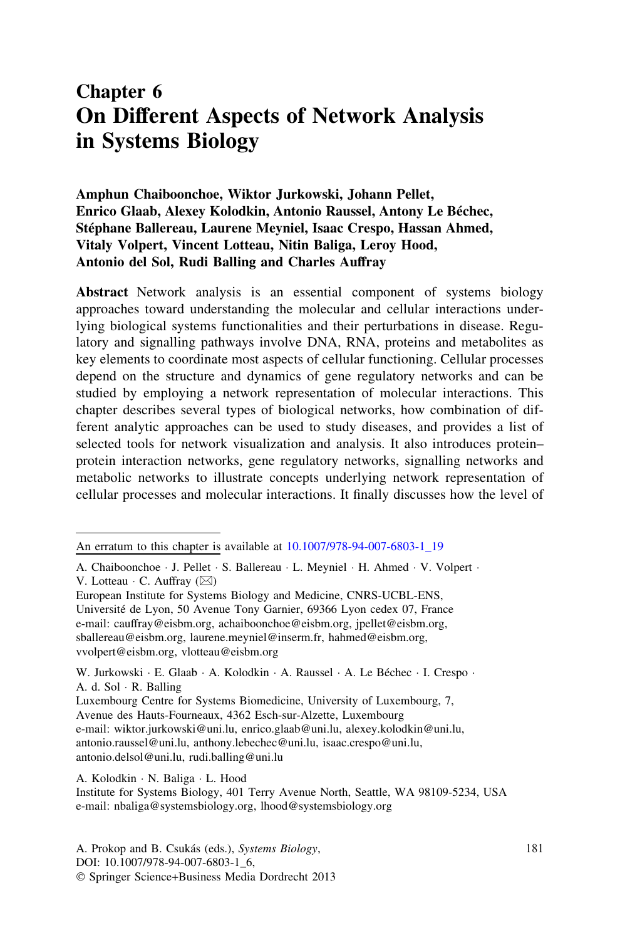# Chapter 6 On Different Aspects of Network Analysis in Systems Biology

# Amphun Chaiboonchoe, Wiktor Jurkowski, Johann Pellet, Enrico Glaab, Alexey Kolodkin, Antonio Raussel, Antony Le Béchec, Stéphane Ballereau, Laurene Meyniel, Isaac Crespo, Hassan Ahmed, Vitaly Volpert, Vincent Lotteau, Nitin Baliga, Leroy Hood, Antonio del Sol, Rudi Balling and Charles Auffray

Abstract Network analysis is an essential component of systems biology approaches toward understanding the molecular and cellular interactions underlying biological systems functionalities and their perturbations in disease. Regulatory and signalling pathways involve DNA, RNA, proteins and metabolites as key elements to coordinate most aspects of cellular functioning. Cellular processes depend on the structure and dynamics of gene regulatory networks and can be studied by employing a network representation of molecular interactions. This chapter describes several types of biological networks, how combination of different analytic approaches can be used to study diseases, and provides a list of selected tools for network visualization and analysis. It also introduces protein– protein interaction networks, gene regulatory networks, signalling networks and metabolic networks to illustrate concepts underlying network representation of cellular processes and molecular interactions. It finally discusses how the level of

An erratum to this chapter is available at [10.1007/978-94-007-6803-1\\_19](http://dx.doi.org/10.1007/978-94-007-6803-1_19)

A. Chaiboonchoe · J. Pellet · S. Ballereau · L. Meyniel · H. Ahmed · V. Volpert · V. Lotteau  $\cdot$  C. Auffray ( $\boxtimes$ )

European Institute for Systems Biology and Medicine, CNRS-UCBL-ENS, Université de Lyon, 50 Avenue Tony Garnier, 69366 Lyon cedex 07, France e-mail: cauffray@eisbm.org, achaiboonchoe@eisbm.org, jpellet@eisbm.org, sballereau@eisbm.org, laurene.meyniel@inserm.fr, hahmed@eisbm.org, vvolpert@eisbm.org, vlotteau@eisbm.org

W. Jurkowski · E. Glaab · A. Kolodkin · A. Raussel · A. Le Béchec · I. Crespo · A. d. Sol - R. Balling

Luxembourg Centre for Systems Biomedicine, University of Luxembourg, 7, Avenue des Hauts-Fourneaux, 4362 Esch-sur-Alzette, Luxembourg e-mail: wiktor.jurkowski@uni.lu, enrico.glaab@uni.lu, alexey.kolodkin@uni.lu, antonio.raussel@uni.lu, anthony.lebechec@uni.lu, isaac.crespo@uni.lu, antonio.delsol@uni.lu, rudi.balling@uni.lu

A. Kolodkin - N. Baliga - L. Hood

Institute for Systems Biology, 401 Terry Avenue North, Seattle, WA 98109-5234, USA e-mail: nbaliga@systemsbiology.org, lhood@systemsbiology.org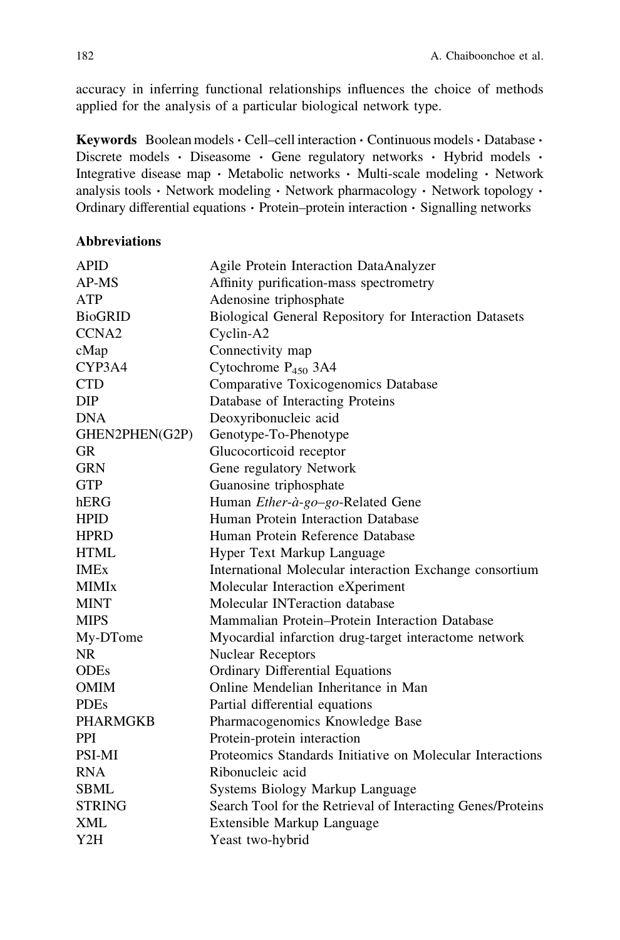accuracy in inferring functional relationships influences the choice of methods applied for the analysis of a particular biological network type.

Keywords Boolean models · Cell–cell interaction · Continuous models · Database · Discrete models · Diseasome · Gene regulatory networks · Hybrid models · Integrative disease map - Metabolic networks - Multi-scale modeling - Network analysis tools · Network modeling · Network pharmacology · Network topology · Ordinary differential equations · Protein-protein interaction · Signalling networks

### Abbreviations

| <b>APID</b>       |                                                             |
|-------------------|-------------------------------------------------------------|
| $AP-MS$           | Agile Protein Interaction DataAnalyzer                      |
|                   | Affinity purification-mass spectrometry                     |
| <b>ATP</b>        | Adenosine triphosphate                                      |
| <b>BioGRID</b>    | Biological General Repository for Interaction Datasets      |
| CCNA <sub>2</sub> | Cyclin-A2                                                   |
| cMap              | Connectivity map                                            |
| CYP3A4            | Cytochrome $P_{450}$ 3A4                                    |
| <b>CTD</b>        | Comparative Toxicogenomics Database                         |
| <b>DIP</b>        | Database of Interacting Proteins                            |
| <b>DNA</b>        | Deoxyribonucleic acid                                       |
| GHEN2PHEN(G2P)    | Genotype-To-Phenotype                                       |
| <b>GR</b>         | Glucocorticoid receptor                                     |
| <b>GRN</b>        | Gene regulatory Network                                     |
| <b>GTP</b>        | Guanosine triphosphate                                      |
| hERG              | Human Ether-à-go-go-Related Gene                            |
| <b>HPID</b>       | Human Protein Interaction Database                          |
| <b>HPRD</b>       | Human Protein Reference Database                            |
| <b>HTML</b>       | Hyper Text Markup Language                                  |
| <b>IMEx</b>       | International Molecular interaction Exchange consortium     |
| <b>MIMIx</b>      | Molecular Interaction eXperiment                            |
| <b>MINT</b>       | Molecular INTeraction database                              |
| <b>MIPS</b>       | Mammalian Protein-Protein Interaction Database              |
| My-DTome          | Myocardial infarction drug-target interactome network       |
| NR.               | <b>Nuclear Receptors</b>                                    |
| <b>ODEs</b>       | <b>Ordinary Differential Equations</b>                      |
| <b>OMIM</b>       | Online Mendelian Inheritance in Man                         |
| <b>PDEs</b>       | Partial differential equations                              |
| <b>PHARMGKB</b>   | Pharmacogenomics Knowledge Base                             |
| <b>PPI</b>        | Protein-protein interaction                                 |
| <b>PSI-MI</b>     | Proteomics Standards Initiative on Molecular Interactions   |
| <b>RNA</b>        | Ribonucleic acid                                            |
| <b>SBML</b>       | Systems Biology Markup Language                             |
| <b>STRING</b>     | Search Tool for the Retrieval of Interacting Genes/Proteins |
| <b>XML</b>        | Extensible Markup Language                                  |
| Y2H               | Yeast two-hybrid                                            |
|                   |                                                             |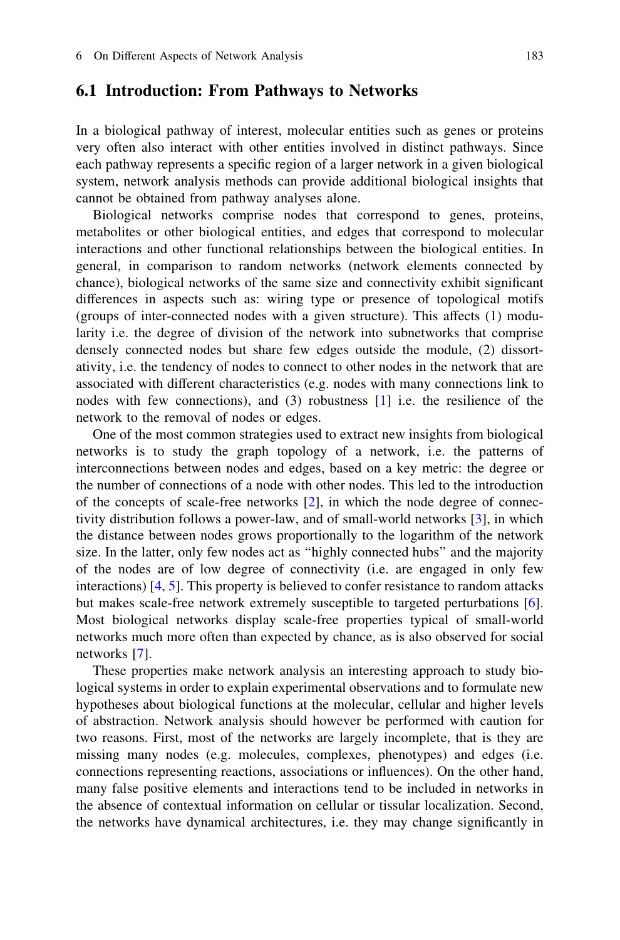# 6.1 Introduction: From Pathways to Networks

In a biological pathway of interest, molecular entities such as genes or proteins very often also interact with other entities involved in distinct pathways. Since each pathway represents a specific region of a larger network in a given biological system, network analysis methods can provide additional biological insights that cannot be obtained from pathway analyses alone.

Biological networks comprise nodes that correspond to genes, proteins, metabolites or other biological entities, and edges that correspond to molecular interactions and other functional relationships between the biological entities. In general, in comparison to random networks (network elements connected by chance), biological networks of the same size and connectivity exhibit significant differences in aspects such as: wiring type or presence of topological motifs (groups of inter-connected nodes with a given structure). This affects (1) modularity i.e. the degree of division of the network into subnetworks that comprise densely connected nodes but share few edges outside the module, (2) dissortativity, i.e. the tendency of nodes to connect to other nodes in the network that are associated with different characteristics (e.g. nodes with many connections link to nodes with few connections), and  $(3)$  robustness  $[1]$  $[1]$  i.e. the resilience of the network to the removal of nodes or edges.

One of the most common strategies used to extract new insights from biological networks is to study the graph topology of a network, i.e. the patterns of interconnections between nodes and edges, based on a key metric: the degree or the number of connections of a node with other nodes. This led to the introduction of the concepts of scale-free networks  $[2]$  $[2]$ , in which the node degree of connectivity distribution follows a power-law, and of small-world networks [[3\]](#page-20-0), in which the distance between nodes grows proportionally to the logarithm of the network size. In the latter, only few nodes act as ''highly connected hubs'' and the majority of the nodes are of low degree of connectivity (i.e. are engaged in only few interactions) [[4,](#page-21-0) [5](#page-21-0)]. This property is believed to confer resistance to random attacks but makes scale-free network extremely susceptible to targeted perturbations [[6\]](#page-21-0). Most biological networks display scale-free properties typical of small-world networks much more often than expected by chance, as is also observed for social networks [\[7](#page-21-0)].

These properties make network analysis an interesting approach to study biological systems in order to explain experimental observations and to formulate new hypotheses about biological functions at the molecular, cellular and higher levels of abstraction. Network analysis should however be performed with caution for two reasons. First, most of the networks are largely incomplete, that is they are missing many nodes (e.g. molecules, complexes, phenotypes) and edges (i.e. connections representing reactions, associations or influences). On the other hand, many false positive elements and interactions tend to be included in networks in the absence of contextual information on cellular or tissular localization. Second, the networks have dynamical architectures, i.e. they may change significantly in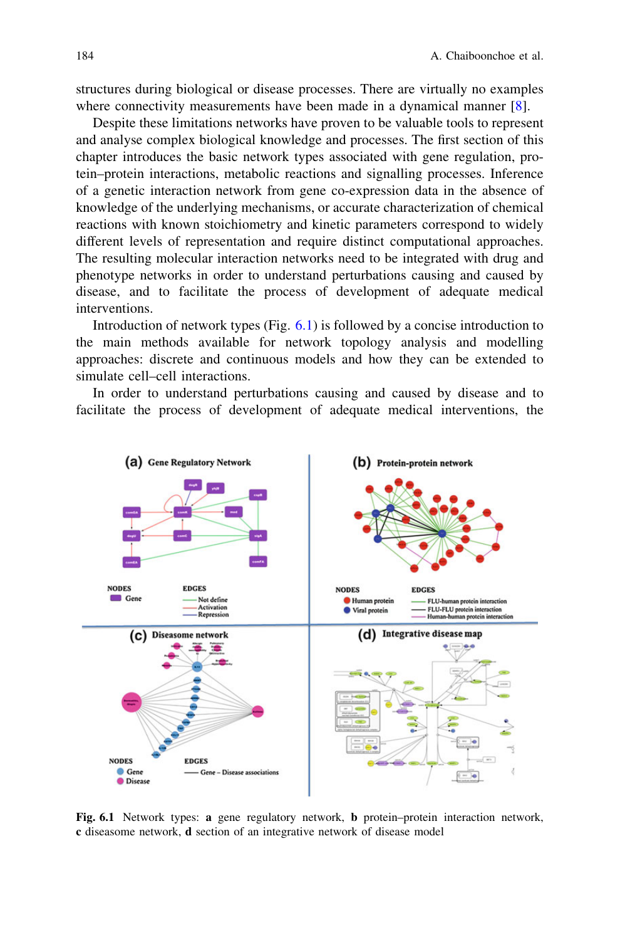structures during biological or disease processes. There are virtually no examples where connectivity measurements have been made in a dynamical manner [\[8](#page-21-0)].

Despite these limitations networks have proven to be valuable tools to represent and analyse complex biological knowledge and processes. The first section of this chapter introduces the basic network types associated with gene regulation, protein–protein interactions, metabolic reactions and signalling processes. Inference of a genetic interaction network from gene co-expression data in the absence of knowledge of the underlying mechanisms, or accurate characterization of chemical reactions with known stoichiometry and kinetic parameters correspond to widely different levels of representation and require distinct computational approaches. The resulting molecular interaction networks need to be integrated with drug and phenotype networks in order to understand perturbations causing and caused by disease, and to facilitate the process of development of adequate medical interventions.

Introduction of network types (Fig. 6.1) is followed by a concise introduction to the main methods available for network topology analysis and modelling approaches: discrete and continuous models and how they can be extended to simulate cell–cell interactions.

In order to understand perturbations causing and caused by disease and to facilitate the process of development of adequate medical interventions, the



Fig. 6.1 Network types: a gene regulatory network, b protein–protein interaction network, c diseasome network, d section of an integrative network of disease model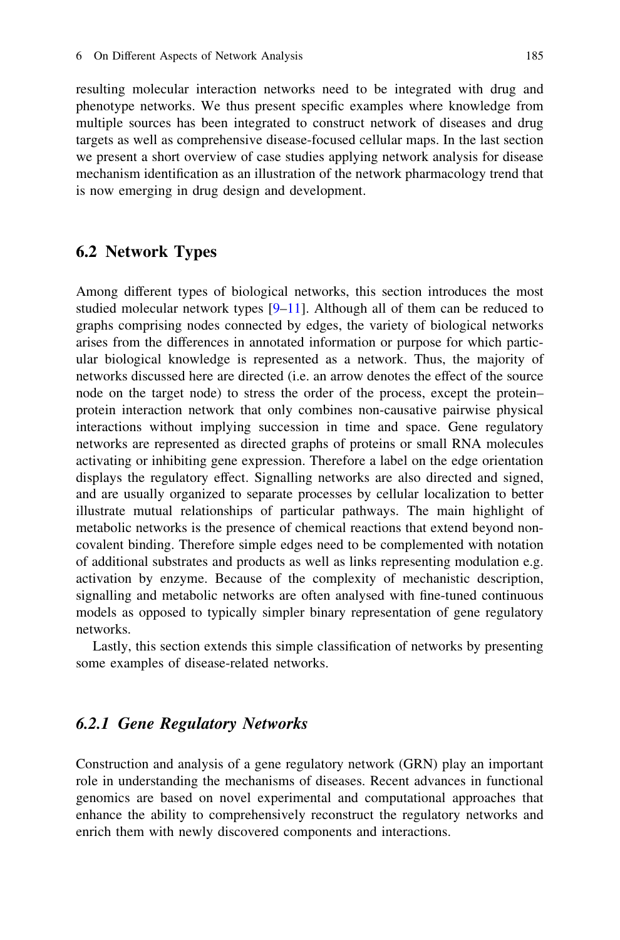resulting molecular interaction networks need to be integrated with drug and phenotype networks. We thus present specific examples where knowledge from multiple sources has been integrated to construct network of diseases and drug targets as well as comprehensive disease-focused cellular maps. In the last section we present a short overview of case studies applying network analysis for disease mechanism identification as an illustration of the network pharmacology trend that is now emerging in drug design and development.

### 6.2 Network Types

Among different types of biological networks, this section introduces the most studied molecular network types [[9–11\]](#page-21-0). Although all of them can be reduced to graphs comprising nodes connected by edges, the variety of biological networks arises from the differences in annotated information or purpose for which particular biological knowledge is represented as a network. Thus, the majority of networks discussed here are directed (i.e. an arrow denotes the effect of the source node on the target node) to stress the order of the process, except the protein– protein interaction network that only combines non-causative pairwise physical interactions without implying succession in time and space. Gene regulatory networks are represented as directed graphs of proteins or small RNA molecules activating or inhibiting gene expression. Therefore a label on the edge orientation displays the regulatory effect. Signalling networks are also directed and signed, and are usually organized to separate processes by cellular localization to better illustrate mutual relationships of particular pathways. The main highlight of metabolic networks is the presence of chemical reactions that extend beyond noncovalent binding. Therefore simple edges need to be complemented with notation of additional substrates and products as well as links representing modulation e.g. activation by enzyme. Because of the complexity of mechanistic description, signalling and metabolic networks are often analysed with fine-tuned continuous models as opposed to typically simpler binary representation of gene regulatory networks.

Lastly, this section extends this simple classification of networks by presenting some examples of disease-related networks.

### 6.2.1 Gene Regulatory Networks

Construction and analysis of a gene regulatory network (GRN) play an important role in understanding the mechanisms of diseases. Recent advances in functional genomics are based on novel experimental and computational approaches that enhance the ability to comprehensively reconstruct the regulatory networks and enrich them with newly discovered components and interactions.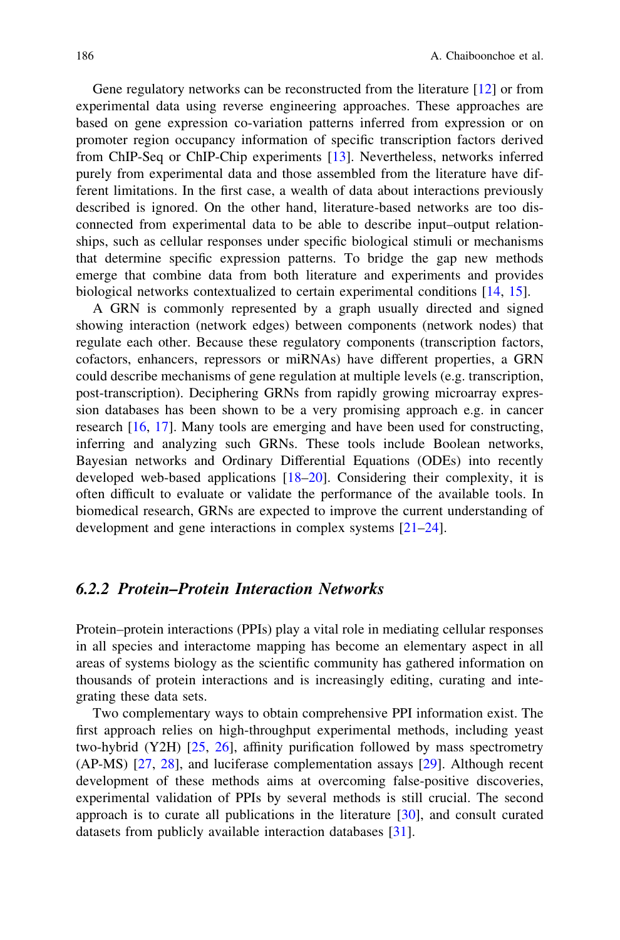Gene regulatory networks can be reconstructed from the literature [[12\]](#page-21-0) or from experimental data using reverse engineering approaches. These approaches are based on gene expression co-variation patterns inferred from expression or on promoter region occupancy information of specific transcription factors derived from ChIP-Seq or ChIP-Chip experiments [[13](#page-21-0)]. Nevertheless, networks inferred purely from experimental data and those assembled from the literature have different limitations. In the first case, a wealth of data about interactions previously described is ignored. On the other hand, literature-based networks are too disconnected from experimental data to be able to describe input–output relationships, such as cellular responses under specific biological stimuli or mechanisms that determine specific expression patterns. To bridge the gap new methods emerge that combine data from both literature and experiments and provides biological networks contextualized to certain experimental conditions [[14,](#page-21-0) [15\]](#page-21-0).

A GRN is commonly represented by a graph usually directed and signed showing interaction (network edges) between components (network nodes) that regulate each other. Because these regulatory components (transcription factors, cofactors, enhancers, repressors or miRNAs) have different properties, a GRN could describe mechanisms of gene regulation at multiple levels (e.g. transcription, post-transcription). Deciphering GRNs from rapidly growing microarray expression databases has been shown to be a very promising approach e.g. in cancer research [[16,](#page-21-0) [17\]](#page-21-0). Many tools are emerging and have been used for constructing, inferring and analyzing such GRNs. These tools include Boolean networks, Bayesian networks and Ordinary Differential Equations (ODEs) into recently developed web-based applications [[18–20\]](#page-21-0). Considering their complexity, it is often difficult to evaluate or validate the performance of the available tools. In biomedical research, GRNs are expected to improve the current understanding of development and gene interactions in complex systems [\[21–24](#page-21-0)].

# 6.2.2 Protein–Protein Interaction Networks

Protein–protein interactions (PPIs) play a vital role in mediating cellular responses in all species and interactome mapping has become an elementary aspect in all areas of systems biology as the scientific community has gathered information on thousands of protein interactions and is increasingly editing, curating and integrating these data sets.

Two complementary ways to obtain comprehensive PPI information exist. The first approach relies on high-throughput experimental methods, including yeast two-hybrid (Y2H) [[25,](#page-21-0) [26](#page-21-0)], affinity purification followed by mass spectrometry (AP-MS) [[27,](#page-21-0) [28\]](#page-21-0), and luciferase complementation assays [\[29](#page-21-0)]. Although recent development of these methods aims at overcoming false-positive discoveries, experimental validation of PPIs by several methods is still crucial. The second approach is to curate all publications in the literature [[30\]](#page-21-0), and consult curated datasets from publicly available interaction databases [[31\]](#page-22-0).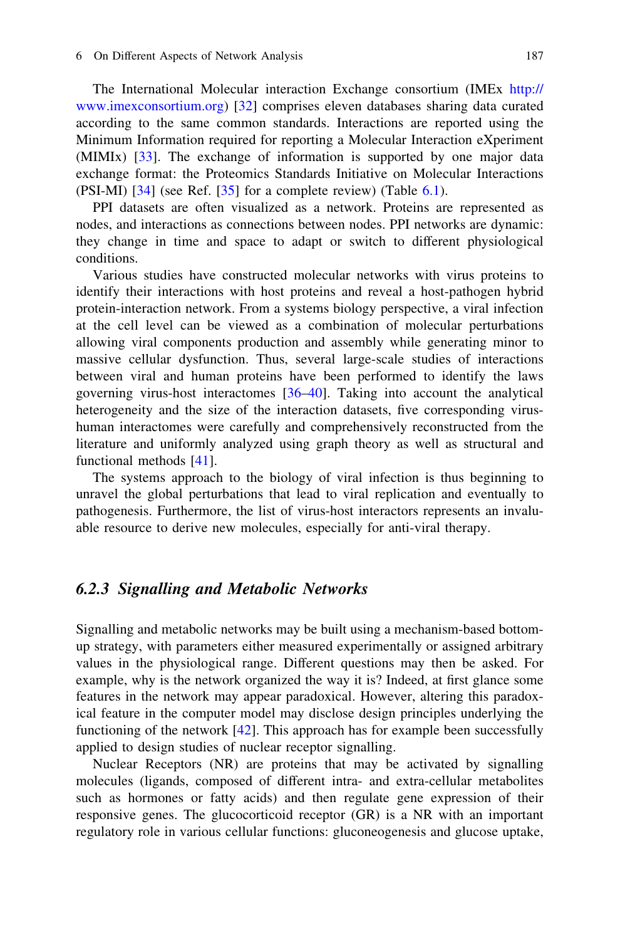The International Molecular interaction Exchange consortium (IMEx [http://](http://www.imexconsortium.org) [www.imexconsortium.org\)](http://www.imexconsortium.org) [\[32](#page-22-0)] comprises eleven databases sharing data curated according to the same common standards. Interactions are reported using the Minimum Information required for reporting a Molecular Interaction eXperiment (MIMIx) [\[33](#page-22-0)]. The exchange of information is supported by one major data exchange format: the Proteomics Standards Initiative on Molecular Interactions (PSI-MI) [[34\]](#page-22-0) (see Ref. [[35\]](#page-22-0) for a complete review) (Table [6.1](#page-7-0)).

PPI datasets are often visualized as a network. Proteins are represented as nodes, and interactions as connections between nodes. PPI networks are dynamic: they change in time and space to adapt or switch to different physiological conditions.

Various studies have constructed molecular networks with virus proteins to identify their interactions with host proteins and reveal a host-pathogen hybrid protein-interaction network. From a systems biology perspective, a viral infection at the cell level can be viewed as a combination of molecular perturbations allowing viral components production and assembly while generating minor to massive cellular dysfunction. Thus, several large-scale studies of interactions between viral and human proteins have been performed to identify the laws governing virus-host interactomes [[36–40\]](#page-22-0). Taking into account the analytical heterogeneity and the size of the interaction datasets, five corresponding virushuman interactomes were carefully and comprehensively reconstructed from the literature and uniformly analyzed using graph theory as well as structural and functional methods [\[41](#page-22-0)].

The systems approach to the biology of viral infection is thus beginning to unravel the global perturbations that lead to viral replication and eventually to pathogenesis. Furthermore, the list of virus-host interactors represents an invaluable resource to derive new molecules, especially for anti-viral therapy.

# 6.2.3 Signalling and Metabolic Networks

Signalling and metabolic networks may be built using a mechanism-based bottomup strategy, with parameters either measured experimentally or assigned arbitrary values in the physiological range. Different questions may then be asked. For example, why is the network organized the way it is? Indeed, at first glance some features in the network may appear paradoxical. However, altering this paradoxical feature in the computer model may disclose design principles underlying the functioning of the network [\[42](#page-22-0)]. This approach has for example been successfully applied to design studies of nuclear receptor signalling.

Nuclear Receptors (NR) are proteins that may be activated by signalling molecules (ligands, composed of different intra- and extra-cellular metabolites such as hormones or fatty acids) and then regulate gene expression of their responsive genes. The glucocorticoid receptor (GR) is a NR with an important regulatory role in various cellular functions: gluconeogenesis and glucose uptake,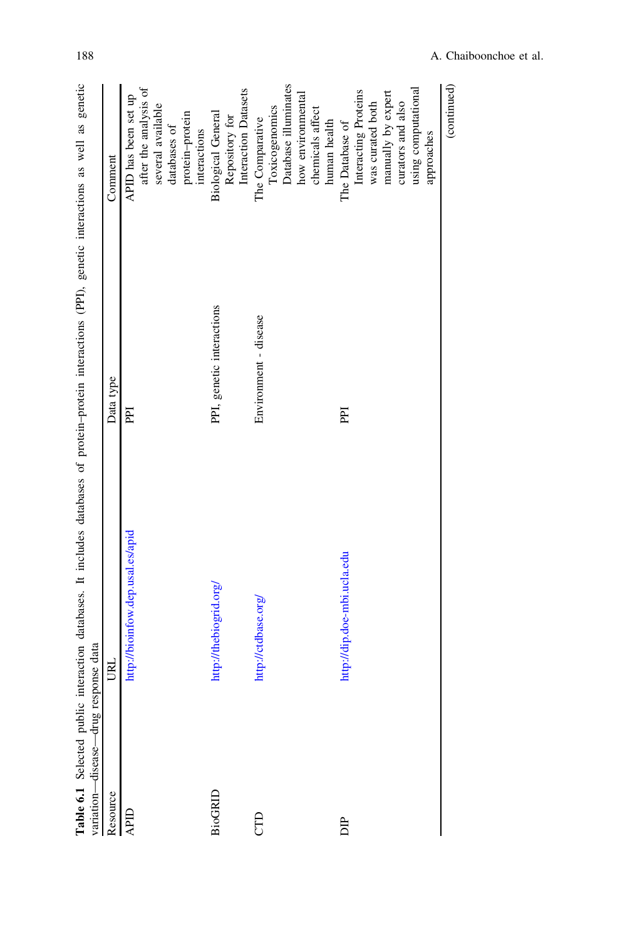|                | Table 6.1 Selected public interaction databases. It includes databases of protein-protein interactions (PPI), genetic interactions as well as genetic<br>variation-disease-drug response data |                           |                           |
|----------------|-----------------------------------------------------------------------------------------------------------------------------------------------------------------------------------------------|---------------------------|---------------------------|
| Resource       | URL                                                                                                                                                                                           | Data type                 | Comment                   |
| <b>APID</b>    | http://bioinfow.dep.usal.es/apid                                                                                                                                                              | PPI                       | APID has been set up      |
|                |                                                                                                                                                                                               |                           | after the analysis of     |
|                |                                                                                                                                                                                               |                           | several available         |
|                |                                                                                                                                                                                               |                           | databases of              |
|                |                                                                                                                                                                                               |                           | protein-protein           |
|                |                                                                                                                                                                                               |                           | interactions              |
| <b>BioGRID</b> | http://thebiogrid.org/                                                                                                                                                                        | PPI, genetic interactions | <b>Biological General</b> |
|                |                                                                                                                                                                                               |                           | Repository for            |
|                |                                                                                                                                                                                               |                           | Interaction Datasets      |
| Ê              | http://ctdbase.org/                                                                                                                                                                           | Environment - disease     | The Comparative           |
|                |                                                                                                                                                                                               |                           | Toxicogenomics            |
|                |                                                                                                                                                                                               |                           | Database illuminates      |
|                |                                                                                                                                                                                               |                           | how environmental         |
|                |                                                                                                                                                                                               |                           | chemicals affect          |
|                |                                                                                                                                                                                               |                           | human health              |
| 启              | http://dip.doe-mbi.ucla.edu                                                                                                                                                                   | PPI                       | The Database of           |
|                |                                                                                                                                                                                               |                           | Interacting Proteins      |
|                |                                                                                                                                                                                               |                           | was curated both          |
|                |                                                                                                                                                                                               |                           | manually by expert        |
|                |                                                                                                                                                                                               |                           | curators and also         |
|                |                                                                                                                                                                                               |                           | using computational       |
|                |                                                                                                                                                                                               |                           | approaches                |
|                |                                                                                                                                                                                               |                           | (continued)               |

<span id="page-7-0"></span>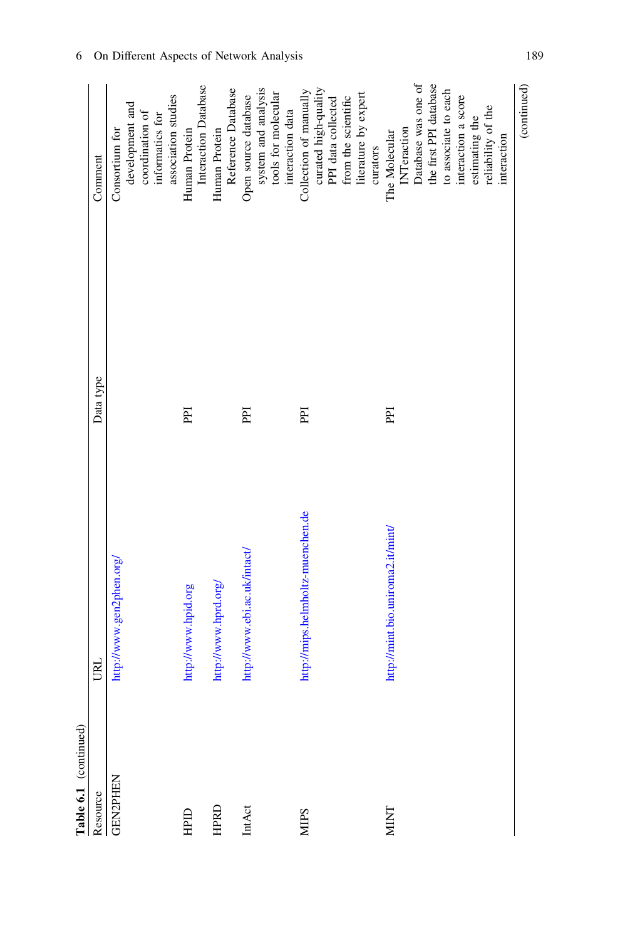| Table 6.1 (continued) |                                   |           |                        |
|-----------------------|-----------------------------------|-----------|------------------------|
| Resource              | URL                               | Data type | Comment                |
| <b>GEN2PHEN</b>       | http://www.gen2phen.org/          |           | Consortium for         |
|                       |                                   |           | development and        |
|                       |                                   |           | coordination of        |
|                       |                                   |           | informatics for        |
|                       |                                   |           | association studies    |
| HPID                  | http://www.hpid.org               | PPI       | Human Protein          |
|                       |                                   |           | Interaction Database   |
| HPRD                  | http://www.hprd.org/              |           | Human Protein          |
|                       |                                   |           | Reference Database     |
| IntAct                | http://www.ebi.ac.uk/intact/      | PPI       | Open source database   |
|                       |                                   |           | system and analysis    |
|                       |                                   |           | tools for molecular    |
|                       |                                   |           | interaction data       |
| <b>NIIPS</b>          | http://mips.helmholtz-muenchen.de | PPI       | Collection of manually |
|                       |                                   |           | curated high-quality   |
|                       |                                   |           | PPI data collected     |
|                       |                                   |           | from the scientific    |
|                       |                                   |           | literature by expert   |
|                       |                                   |           | curators               |
| <b>MINT</b>           | http://mint.bio.uniroma2.it/mint/ | PPI       | The Molecular          |
|                       |                                   |           | INTeraction            |
|                       |                                   |           | Database was one of    |
|                       |                                   |           | the first PPI database |
|                       |                                   |           | to associate to each   |
|                       |                                   |           | interaction a score    |
|                       |                                   |           | estimating the         |
|                       |                                   |           | reliability of the     |
|                       |                                   |           | interaction            |
|                       |                                   |           | (continued)            |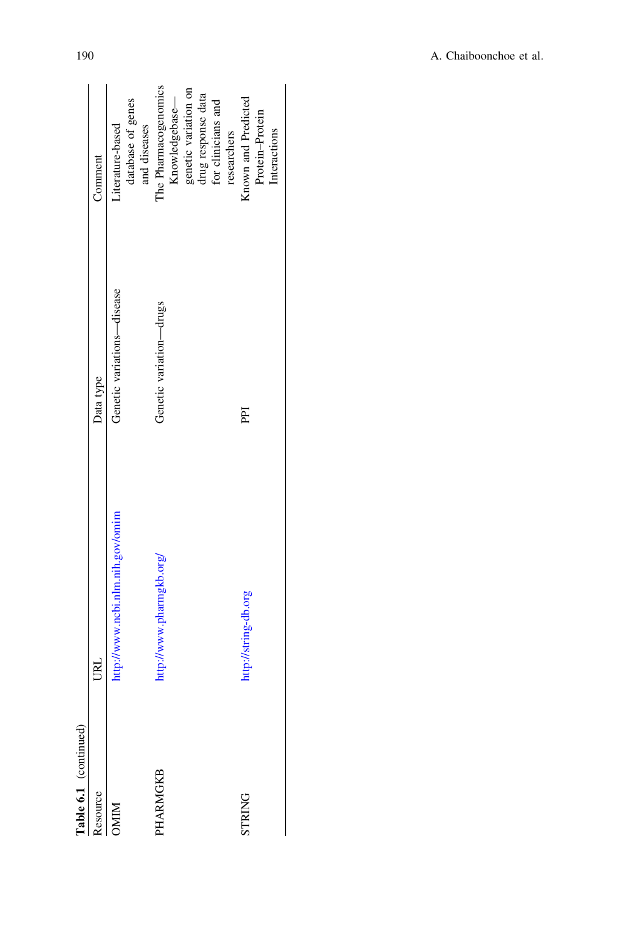| Table 6.1 (continued) |                                  |                            |                                                                                                                           |
|-----------------------|----------------------------------|----------------------------|---------------------------------------------------------------------------------------------------------------------------|
| Resource              | URL                              | Data type                  | Comment                                                                                                                   |
| <b>NIMO</b>           | http://www.ncbi.nlm.nih.gov/omim | Genetic variations-disease | database of genes<br>and diseases<br>Literature-based                                                                     |
| PHARMGKB              | http://www.pharmgkb.org/         | Genetic variation-drugs    | The Pharmacogenomics<br>genetic variation on<br>drug response data<br>Knowledgebase-<br>for clinicians and<br>researchers |
| STRING                | http://string-db.org             | E                          | Known and Predicted<br>Protein-Protein<br>Interactions                                                                    |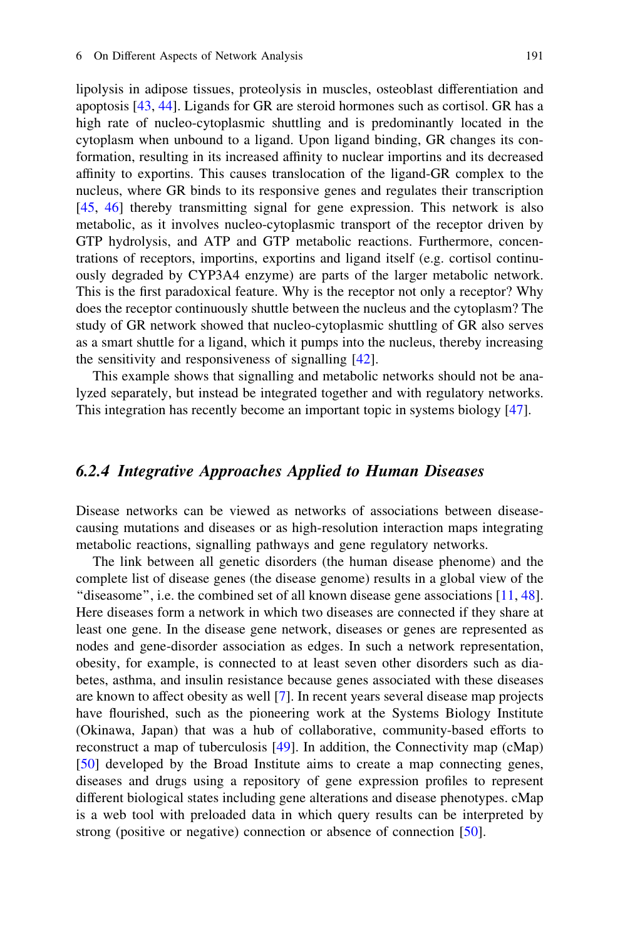lipolysis in adipose tissues, proteolysis in muscles, osteoblast differentiation and apoptosis [\[43](#page-22-0), [44](#page-22-0)]. Ligands for GR are steroid hormones such as cortisol. GR has a high rate of nucleo-cytoplasmic shuttling and is predominantly located in the cytoplasm when unbound to a ligand. Upon ligand binding, GR changes its conformation, resulting in its increased affinity to nuclear importins and its decreased affinity to exportins. This causes translocation of the ligand-GR complex to the nucleus, where GR binds to its responsive genes and regulates their transcription [\[45](#page-22-0), [46](#page-22-0)] thereby transmitting signal for gene expression. This network is also metabolic, as it involves nucleo-cytoplasmic transport of the receptor driven by GTP hydrolysis, and ATP and GTP metabolic reactions. Furthermore, concentrations of receptors, importins, exportins and ligand itself (e.g. cortisol continuously degraded by CYP3A4 enzyme) are parts of the larger metabolic network. This is the first paradoxical feature. Why is the receptor not only a receptor? Why does the receptor continuously shuttle between the nucleus and the cytoplasm? The study of GR network showed that nucleo-cytoplasmic shuttling of GR also serves as a smart shuttle for a ligand, which it pumps into the nucleus, thereby increasing the sensitivity and responsiveness of signalling [[42\]](#page-22-0).

This example shows that signalling and metabolic networks should not be analyzed separately, but instead be integrated together and with regulatory networks. This integration has recently become an important topic in systems biology [\[47](#page-22-0)].

# 6.2.4 Integrative Approaches Applied to Human Diseases

Disease networks can be viewed as networks of associations between diseasecausing mutations and diseases or as high-resolution interaction maps integrating metabolic reactions, signalling pathways and gene regulatory networks.

The link between all genetic disorders (the human disease phenome) and the complete list of disease genes (the disease genome) results in a global view of the "diseasome", i.e. the combined set of all known disease gene associations [[11,](#page-21-0) [48\]](#page-22-0). Here diseases form a network in which two diseases are connected if they share at least one gene. In the disease gene network, diseases or genes are represented as nodes and gene-disorder association as edges. In such a network representation, obesity, for example, is connected to at least seven other disorders such as diabetes, asthma, and insulin resistance because genes associated with these diseases are known to affect obesity as well [[7\]](#page-21-0). In recent years several disease map projects have flourished, such as the pioneering work at the Systems Biology Institute (Okinawa, Japan) that was a hub of collaborative, community-based efforts to reconstruct a map of tuberculosis [\[49](#page-22-0)]. In addition, the Connectivity map (cMap) [\[50](#page-22-0)] developed by the Broad Institute aims to create a map connecting genes, diseases and drugs using a repository of gene expression profiles to represent different biological states including gene alterations and disease phenotypes. cMap is a web tool with preloaded data in which query results can be interpreted by strong (positive or negative) connection or absence of connection [\[50](#page-22-0)].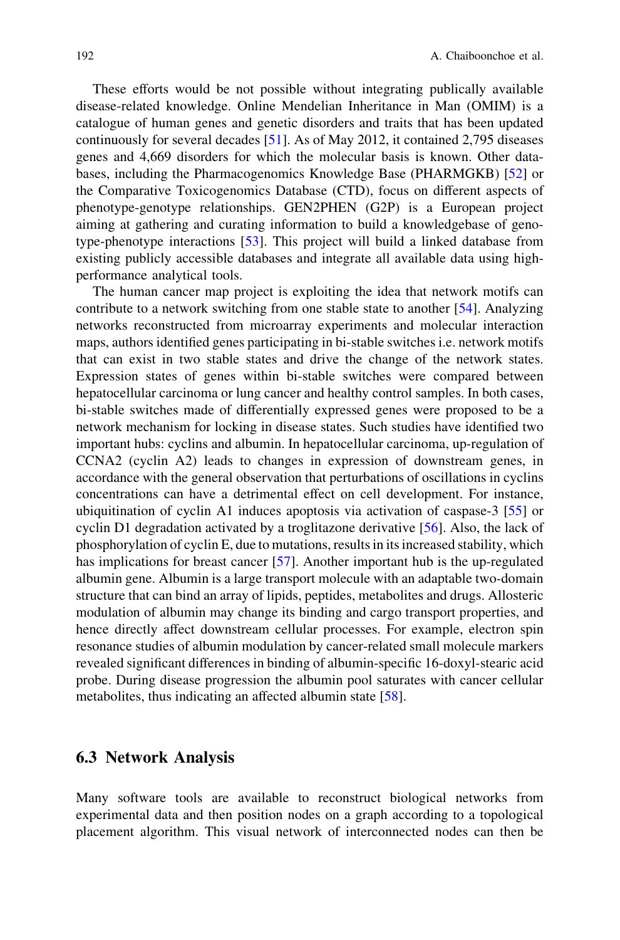These efforts would be not possible without integrating publically available disease-related knowledge. Online Mendelian Inheritance in Man (OMIM) is a catalogue of human genes and genetic disorders and traits that has been updated continuously for several decades [\[51](#page-22-0)]. As of May 2012, it contained 2,795 diseases genes and 4,669 disorders for which the molecular basis is known. Other databases, including the Pharmacogenomics Knowledge Base (PHARMGKB) [[52\]](#page-22-0) or the Comparative Toxicogenomics Database (CTD), focus on different aspects of phenotype-genotype relationships. GEN2PHEN (G2P) is a European project aiming at gathering and curating information to build a knowledgebase of genotype-phenotype interactions [[53\]](#page-22-0). This project will build a linked database from existing publicly accessible databases and integrate all available data using highperformance analytical tools.

The human cancer map project is exploiting the idea that network motifs can contribute to a network switching from one stable state to another [\[54](#page-22-0)]. Analyzing networks reconstructed from microarray experiments and molecular interaction maps, authors identified genes participating in bi-stable switches i.e. network motifs that can exist in two stable states and drive the change of the network states. Expression states of genes within bi-stable switches were compared between hepatocellular carcinoma or lung cancer and healthy control samples. In both cases, bi-stable switches made of differentially expressed genes were proposed to be a network mechanism for locking in disease states. Such studies have identified two important hubs: cyclins and albumin. In hepatocellular carcinoma, up-regulation of CCNA2 (cyclin A2) leads to changes in expression of downstream genes, in accordance with the general observation that perturbations of oscillations in cyclins concentrations can have a detrimental effect on cell development. For instance, ubiquitination of cyclin A1 induces apoptosis via activation of caspase-3 [\[55](#page-22-0)] or cyclin D1 degradation activated by a troglitazone derivative [[56\]](#page-22-0). Also, the lack of phosphorylation of cyclin E, due to mutations, results in its increased stability, which has implications for breast cancer [\[57](#page-22-0)]. Another important hub is the up-regulated albumin gene. Albumin is a large transport molecule with an adaptable two-domain structure that can bind an array of lipids, peptides, metabolites and drugs. Allosteric modulation of albumin may change its binding and cargo transport properties, and hence directly affect downstream cellular processes. For example, electron spin resonance studies of albumin modulation by cancer-related small molecule markers revealed significant differences in binding of albumin-specific 16-doxyl-stearic acid probe. During disease progression the albumin pool saturates with cancer cellular metabolites, thus indicating an affected albumin state [[58\]](#page-23-0).

### 6.3 Network Analysis

Many software tools are available to reconstruct biological networks from experimental data and then position nodes on a graph according to a topological placement algorithm. This visual network of interconnected nodes can then be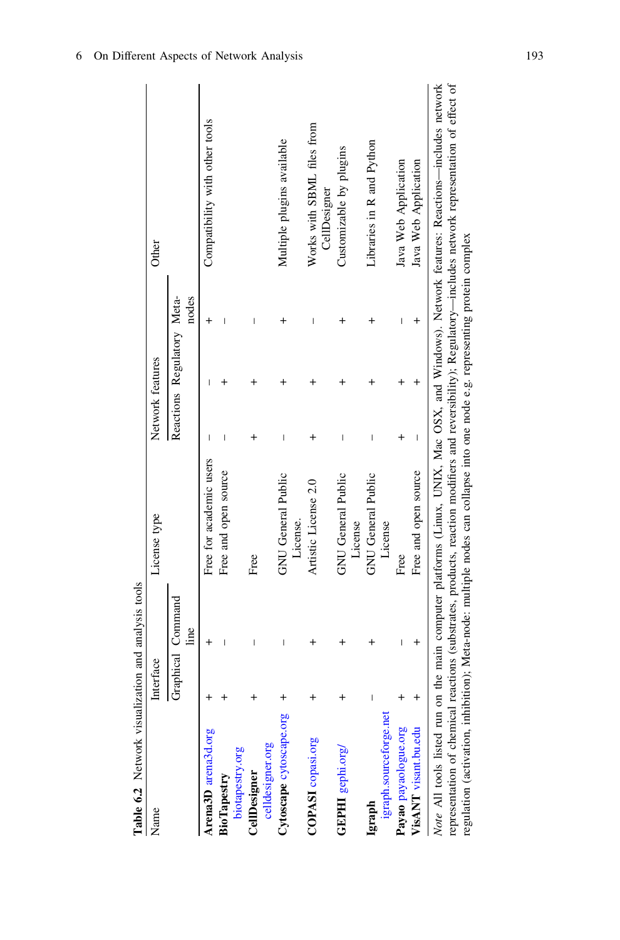<span id="page-12-0"></span>

| Name                                           | Interface |                           | License type                         | Network features |                            |           | Other                                   |
|------------------------------------------------|-----------|---------------------------|--------------------------------------|------------------|----------------------------|-----------|-----------------------------------------|
|                                                |           | Graphical Command<br>line |                                      |                  | Reactions Regulatory Meta- | nodes     |                                         |
| Arena3D arena3d.org                            |           |                           | Free for academic users              |                  |                            | $\ddot{}$ | Compatibility with other tools          |
| BioTapestry                                    |           |                           | Free and open source                 |                  |                            |           |                                         |
| biotapestry.org<br>CellDesigner                |           | Ï                         | Free                                 |                  |                            | I         |                                         |
| Cytoscape cytoscape.org<br>celldesigner.org    |           |                           | <b>GNU</b> General Public            |                  |                            |           | Multiple plugins available              |
| COPASI copasi.org                              |           |                           | Artistic License 2.0<br>License.     |                  |                            | I         | Works with SBML files from              |
| GEPHI gephi.org/                               |           |                           | GNU General Public                   |                  |                            |           | Customizable by plugins<br>CellDesigner |
| Igraph                                         |           |                           | <b>GNU General Public</b><br>License |                  |                            |           | Libraries in R and Python               |
| igraph.sourceforge.net<br>Payao payaologue.org |           | I                         | License<br>Free                      |                  |                            | I         | Java Web Application                    |
| VisANT visant.bu.edu                           |           | $\ddot{}$                 | Free and open source                 | I                |                            | $\ddot{}$ | Java Web Application                    |

regulation (activation, inhibition); Meta-node: multiple nodes can collapse into one node e.g. representing protein complex

regulation (activation, inhibition); Meta-node: multiple nodes can collapse into one node e.g. representing protein complex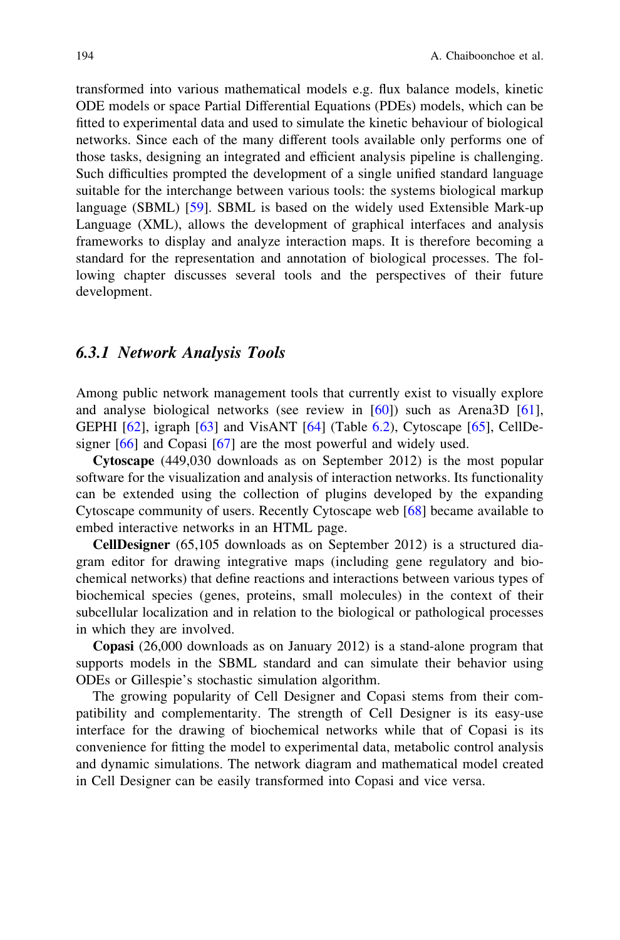transformed into various mathematical models e.g. flux balance models, kinetic ODE models or space Partial Differential Equations (PDEs) models, which can be fitted to experimental data and used to simulate the kinetic behaviour of biological networks. Since each of the many different tools available only performs one of those tasks, designing an integrated and efficient analysis pipeline is challenging. Such difficulties prompted the development of a single unified standard language suitable for the interchange between various tools: the systems biological markup language (SBML) [[59\]](#page-23-0). SBML is based on the widely used Extensible Mark-up Language (XML), allows the development of graphical interfaces and analysis frameworks to display and analyze interaction maps. It is therefore becoming a standard for the representation and annotation of biological processes. The following chapter discusses several tools and the perspectives of their future development.

# 6.3.1 Network Analysis Tools

Among public network management tools that currently exist to visually explore and analyse biological networks (see review in [[60\]](#page-23-0)) such as Arena3D [[61\]](#page-23-0), GEPHI [[62](#page-23-0)], igraph [[63\]](#page-23-0) and VisANT [[64\]](#page-23-0) (Table [6.2\)](#page-12-0), Cytoscape [\[65](#page-23-0)], CellDesigner [[66\]](#page-23-0) and Copasi [[67\]](#page-23-0) are the most powerful and widely used.

Cytoscape (449,030 downloads as on September 2012) is the most popular software for the visualization and analysis of interaction networks. Its functionality can be extended using the collection of plugins developed by the expanding Cytoscape community of users. Recently Cytoscape web [\[68](#page-23-0)] became available to embed interactive networks in an HTML page.

CellDesigner (65,105 downloads as on September 2012) is a structured diagram editor for drawing integrative maps (including gene regulatory and biochemical networks) that define reactions and interactions between various types of biochemical species (genes, proteins, small molecules) in the context of their subcellular localization and in relation to the biological or pathological processes in which they are involved.

Copasi (26,000 downloads as on January 2012) is a stand-alone program that supports models in the SBML standard and can simulate their behavior using ODEs or Gillespie's stochastic simulation algorithm.

The growing popularity of Cell Designer and Copasi stems from their compatibility and complementarity. The strength of Cell Designer is its easy-use interface for the drawing of biochemical networks while that of Copasi is its convenience for fitting the model to experimental data, metabolic control analysis and dynamic simulations. The network diagram and mathematical model created in Cell Designer can be easily transformed into Copasi and vice versa.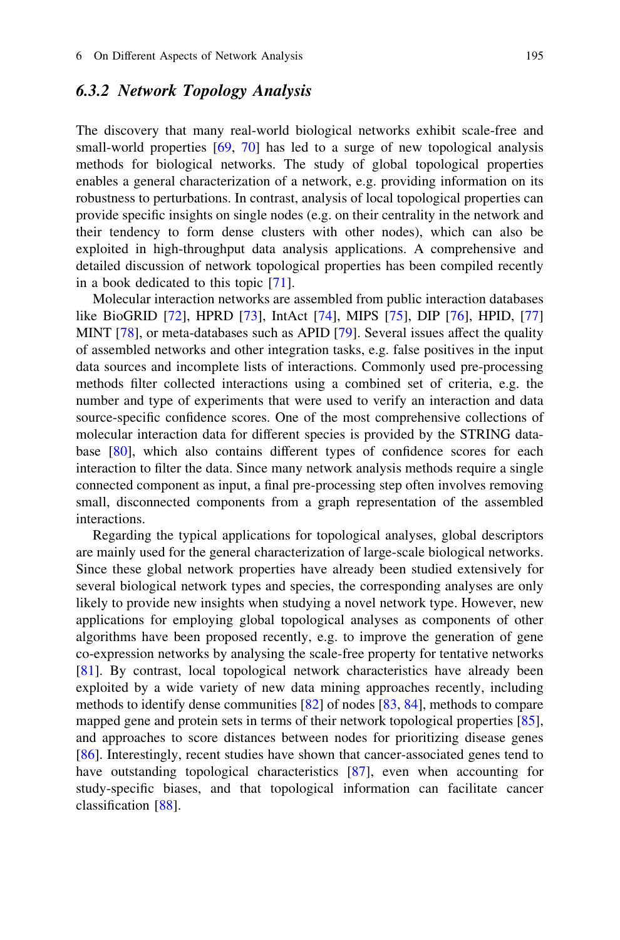# 6.3.2 Network Topology Analysis

The discovery that many real-world biological networks exhibit scale-free and small-world properties [\[69](#page-23-0), [70](#page-23-0)] has led to a surge of new topological analysis methods for biological networks. The study of global topological properties enables a general characterization of a network, e.g. providing information on its robustness to perturbations. In contrast, analysis of local topological properties can provide specific insights on single nodes (e.g. on their centrality in the network and their tendency to form dense clusters with other nodes), which can also be exploited in high-throughput data analysis applications. A comprehensive and detailed discussion of network topological properties has been compiled recently in a book dedicated to this topic [\[71](#page-23-0)].

Molecular interaction networks are assembled from public interaction databases like BioGRID [\[72](#page-23-0)], HPRD [[73\]](#page-23-0), IntAct [[74\]](#page-23-0), MIPS [\[75](#page-23-0)], DIP [\[76](#page-23-0)], HPID, [\[77](#page-23-0)] MINT [\[78](#page-23-0)], or meta-databases such as APID [\[79\]](#page-23-0). Several issues affect the quality of assembled networks and other integration tasks, e.g. false positives in the input data sources and incomplete lists of interactions. Commonly used pre-processing methods filter collected interactions using a combined set of criteria, e.g. the number and type of experiments that were used to verify an interaction and data source-specific confidence scores. One of the most comprehensive collections of molecular interaction data for different species is provided by the STRING database [\[80](#page-23-0)], which also contains different types of confidence scores for each interaction to filter the data. Since many network analysis methods require a single connected component as input, a final pre-processing step often involves removing small, disconnected components from a graph representation of the assembled interactions.

Regarding the typical applications for topological analyses, global descriptors are mainly used for the general characterization of large-scale biological networks. Since these global network properties have already been studied extensively for several biological network types and species, the corresponding analyses are only likely to provide new insights when studying a novel network type. However, new applications for employing global topological analyses as components of other algorithms have been proposed recently, e.g. to improve the generation of gene co-expression networks by analysing the scale-free property for tentative networks [\[81](#page-23-0)]. By contrast, local topological network characteristics have already been exploited by a wide variety of new data mining approaches recently, including methods to identify dense communities [\[82](#page-23-0)] of nodes [[83,](#page-23-0) [84](#page-23-0)], methods to compare mapped gene and protein sets in terms of their network topological properties [[85\]](#page-24-0), and approaches to score distances between nodes for prioritizing disease genes [\[86](#page-24-0)]. Interestingly, recent studies have shown that cancer-associated genes tend to have outstanding topological characteristics [\[87](#page-24-0)], even when accounting for study-specific biases, and that topological information can facilitate cancer classification [[88\]](#page-24-0).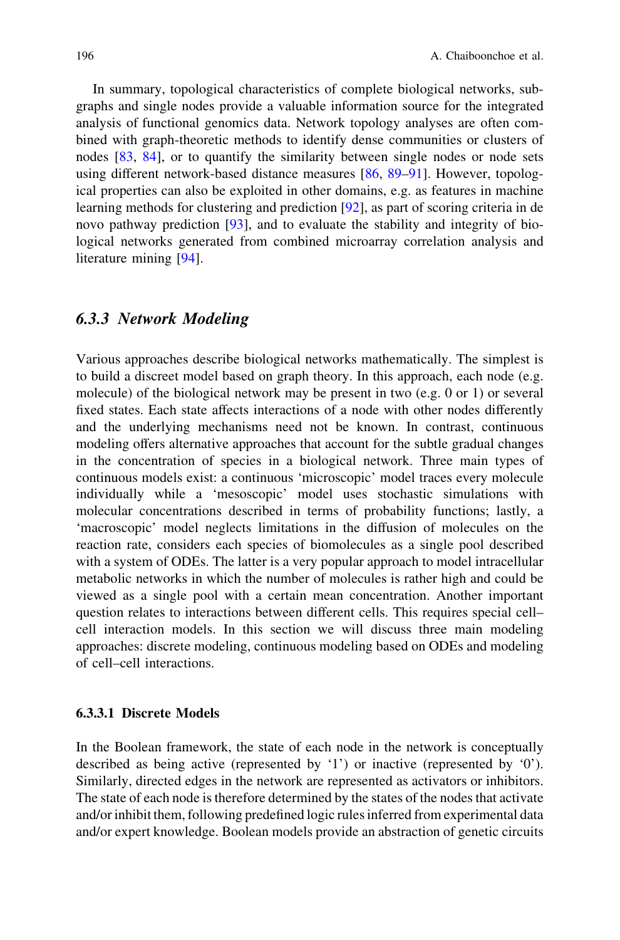In summary, topological characteristics of complete biological networks, subgraphs and single nodes provide a valuable information source for the integrated analysis of functional genomics data. Network topology analyses are often combined with graph-theoretic methods to identify dense communities or clusters of nodes [[83,](#page-23-0) [84](#page-23-0)], or to quantify the similarity between single nodes or node sets using different network-based distance measures [[86,](#page-24-0) [89–91\]](#page-24-0). However, topological properties can also be exploited in other domains, e.g. as features in machine learning methods for clustering and prediction [[92](#page-24-0)], as part of scoring criteria in de novo pathway prediction [[93\]](#page-24-0), and to evaluate the stability and integrity of biological networks generated from combined microarray correlation analysis and literature mining [[94\]](#page-24-0).

# 6.3.3 Network Modeling

Various approaches describe biological networks mathematically. The simplest is to build a discreet model based on graph theory. In this approach, each node (e.g. molecule) of the biological network may be present in two (e.g. 0 or 1) or several fixed states. Each state affects interactions of a node with other nodes differently and the underlying mechanisms need not be known. In contrast, continuous modeling offers alternative approaches that account for the subtle gradual changes in the concentration of species in a biological network. Three main types of continuous models exist: a continuous 'microscopic' model traces every molecule individually while a 'mesoscopic' model uses stochastic simulations with molecular concentrations described in terms of probability functions; lastly, a 'macroscopic' model neglects limitations in the diffusion of molecules on the reaction rate, considers each species of biomolecules as a single pool described with a system of ODEs. The latter is a very popular approach to model intracellular metabolic networks in which the number of molecules is rather high and could be viewed as a single pool with a certain mean concentration. Another important question relates to interactions between different cells. This requires special cell– cell interaction models. In this section we will discuss three main modeling approaches: discrete modeling, continuous modeling based on ODEs and modeling of cell–cell interactions.

#### 6.3.3.1 Discrete Models

In the Boolean framework, the state of each node in the network is conceptually described as being active (represented by '1') or inactive (represented by '0'). Similarly, directed edges in the network are represented as activators or inhibitors. The state of each node is therefore determined by the states of the nodes that activate and/or inhibit them, following predefined logic rules inferred from experimental data and/or expert knowledge. Boolean models provide an abstraction of genetic circuits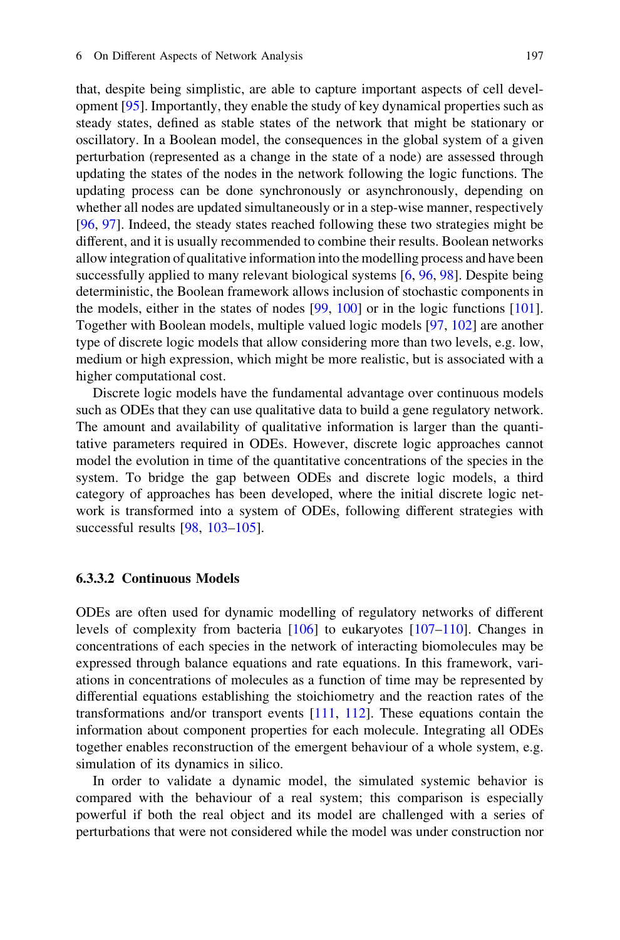that, despite being simplistic, are able to capture important aspects of cell development [\[95](#page-24-0)]. Importantly, they enable the study of key dynamical properties such as steady states, defined as stable states of the network that might be stationary or oscillatory. In a Boolean model, the consequences in the global system of a given perturbation (represented as a change in the state of a node) are assessed through updating the states of the nodes in the network following the logic functions. The updating process can be done synchronously or asynchronously, depending on whether all nodes are updated simultaneously or in a step-wise manner, respectively [\[96](#page-24-0), [97](#page-24-0)]. Indeed, the steady states reached following these two strategies might be different, and it is usually recommended to combine their results. Boolean networks allow integration of qualitative information into the modelling process and have been successfully applied to many relevant biological systems [\[6](#page-21-0), [96,](#page-24-0) [98\]](#page-24-0). Despite being deterministic, the Boolean framework allows inclusion of stochastic components in the models, either in the states of nodes [[99,](#page-24-0) [100](#page-24-0)] or in the logic functions [[101\]](#page-24-0). Together with Boolean models, multiple valued logic models [[97,](#page-24-0) [102\]](#page-24-0) are another type of discrete logic models that allow considering more than two levels, e.g. low, medium or high expression, which might be more realistic, but is associated with a higher computational cost.

Discrete logic models have the fundamental advantage over continuous models such as ODEs that they can use qualitative data to build a gene regulatory network. The amount and availability of qualitative information is larger than the quantitative parameters required in ODEs. However, discrete logic approaches cannot model the evolution in time of the quantitative concentrations of the species in the system. To bridge the gap between ODEs and discrete logic models, a third category of approaches has been developed, where the initial discrete logic network is transformed into a system of ODEs, following different strategies with successful results [[98,](#page-24-0) 103-105].

#### 6.3.3.2 Continuous Models

ODEs are often used for dynamic modelling of regulatory networks of different levels of complexity from bacteria [\[106\]](#page-24-0) to eukaryotes [[107–](#page-24-0)[110\]](#page-25-0). Changes in concentrations of each species in the network of interacting biomolecules may be expressed through balance equations and rate equations. In this framework, variations in concentrations of molecules as a function of time may be represented by differential equations establishing the stoichiometry and the reaction rates of the transformations and/or transport events [[111,](#page-25-0) [112](#page-25-0)]. These equations contain the information about component properties for each molecule. Integrating all ODEs together enables reconstruction of the emergent behaviour of a whole system, e.g. simulation of its dynamics in silico.

In order to validate a dynamic model, the simulated systemic behavior is compared with the behaviour of a real system; this comparison is especially powerful if both the real object and its model are challenged with a series of perturbations that were not considered while the model was under construction nor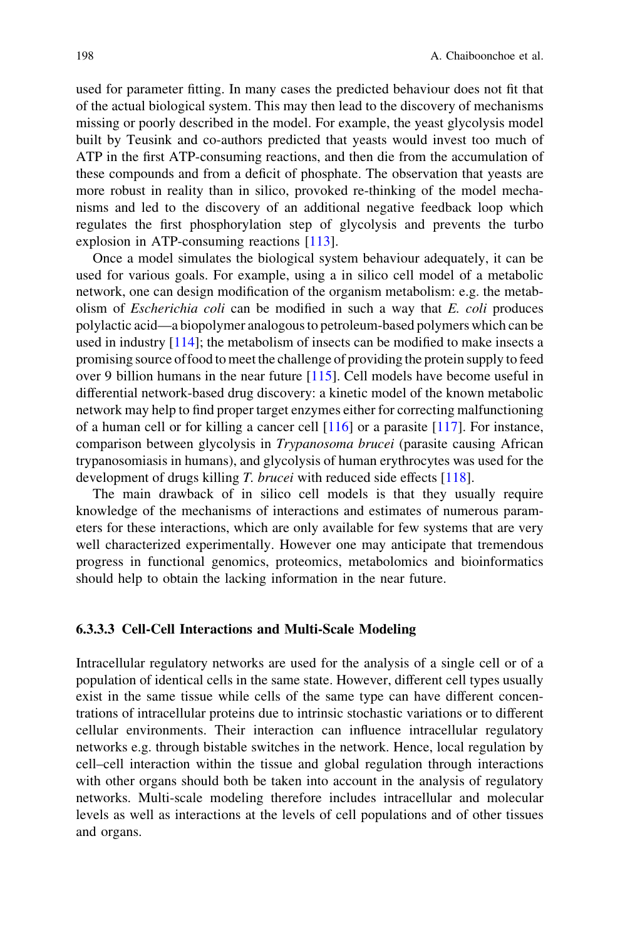used for parameter fitting. In many cases the predicted behaviour does not fit that of the actual biological system. This may then lead to the discovery of mechanisms missing or poorly described in the model. For example, the yeast glycolysis model built by Teusink and co-authors predicted that yeasts would invest too much of ATP in the first ATP-consuming reactions, and then die from the accumulation of these compounds and from a deficit of phosphate. The observation that yeasts are more robust in reality than in silico, provoked re-thinking of the model mechanisms and led to the discovery of an additional negative feedback loop which regulates the first phosphorylation step of glycolysis and prevents the turbo explosion in ATP-consuming reactions [\[113](#page-25-0)].

Once a model simulates the biological system behaviour adequately, it can be used for various goals. For example, using a in silico cell model of a metabolic network, one can design modification of the organism metabolism: e.g. the metabolism of *Escherichia coli* can be modified in such a way that  $E$ . *coli* produces polylactic acid—a biopolymer analogous to petroleum-based polymers which can be used in industry [\[114](#page-25-0)]; the metabolism of insects can be modified to make insects a promising source offood to meet the challenge of providing the protein supply to feed over 9 billion humans in the near future [[115\]](#page-25-0). Cell models have become useful in differential network-based drug discovery: a kinetic model of the known metabolic network may help to find proper target enzymes either for correcting malfunctioning of a human cell or for killing a cancer cell [\[116](#page-25-0)] or a parasite [[117\]](#page-25-0). For instance, comparison between glycolysis in Trypanosoma brucei (parasite causing African trypanosomiasis in humans), and glycolysis of human erythrocytes was used for the development of drugs killing *T. brucei* with reduced side effects [[118\]](#page-25-0).

The main drawback of in silico cell models is that they usually require knowledge of the mechanisms of interactions and estimates of numerous parameters for these interactions, which are only available for few systems that are very well characterized experimentally. However one may anticipate that tremendous progress in functional genomics, proteomics, metabolomics and bioinformatics should help to obtain the lacking information in the near future.

#### 6.3.3.3 Cell-Cell Interactions and Multi-Scale Modeling

Intracellular regulatory networks are used for the analysis of a single cell or of a population of identical cells in the same state. However, different cell types usually exist in the same tissue while cells of the same type can have different concentrations of intracellular proteins due to intrinsic stochastic variations or to different cellular environments. Their interaction can influence intracellular regulatory networks e.g. through bistable switches in the network. Hence, local regulation by cell–cell interaction within the tissue and global regulation through interactions with other organs should both be taken into account in the analysis of regulatory networks. Multi-scale modeling therefore includes intracellular and molecular levels as well as interactions at the levels of cell populations and of other tissues and organs.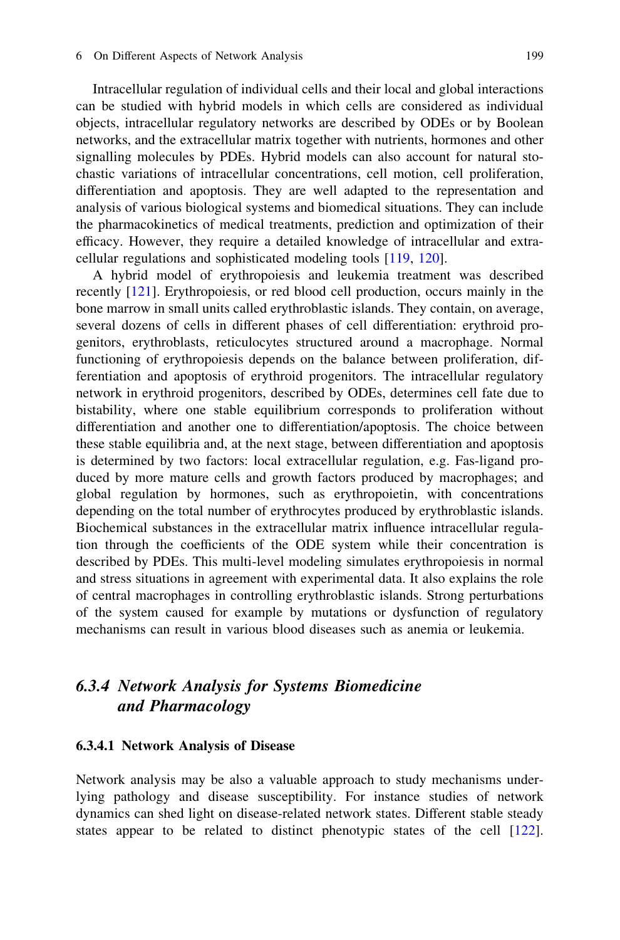Intracellular regulation of individual cells and their local and global interactions can be studied with hybrid models in which cells are considered as individual objects, intracellular regulatory networks are described by ODEs or by Boolean networks, and the extracellular matrix together with nutrients, hormones and other signalling molecules by PDEs. Hybrid models can also account for natural stochastic variations of intracellular concentrations, cell motion, cell proliferation, differentiation and apoptosis. They are well adapted to the representation and analysis of various biological systems and biomedical situations. They can include the pharmacokinetics of medical treatments, prediction and optimization of their efficacy. However, they require a detailed knowledge of intracellular and extracellular regulations and sophisticated modeling tools [[119,](#page-25-0) [120\]](#page-25-0).

A hybrid model of erythropoiesis and leukemia treatment was described recently [[121\]](#page-25-0). Erythropoiesis, or red blood cell production, occurs mainly in the bone marrow in small units called erythroblastic islands. They contain, on average, several dozens of cells in different phases of cell differentiation: erythroid progenitors, erythroblasts, reticulocytes structured around a macrophage. Normal functioning of erythropoiesis depends on the balance between proliferation, differentiation and apoptosis of erythroid progenitors. The intracellular regulatory network in erythroid progenitors, described by ODEs, determines cell fate due to bistability, where one stable equilibrium corresponds to proliferation without differentiation and another one to differentiation/apoptosis. The choice between these stable equilibria and, at the next stage, between differentiation and apoptosis is determined by two factors: local extracellular regulation, e.g. Fas-ligand produced by more mature cells and growth factors produced by macrophages; and global regulation by hormones, such as erythropoietin, with concentrations depending on the total number of erythrocytes produced by erythroblastic islands. Biochemical substances in the extracellular matrix influence intracellular regulation through the coefficients of the ODE system while their concentration is described by PDEs. This multi-level modeling simulates erythropoiesis in normal and stress situations in agreement with experimental data. It also explains the role of central macrophages in controlling erythroblastic islands. Strong perturbations of the system caused for example by mutations or dysfunction of regulatory mechanisms can result in various blood diseases such as anemia or leukemia.

# 6.3.4 Network Analysis for Systems Biomedicine and Pharmacology

#### 6.3.4.1 Network Analysis of Disease

Network analysis may be also a valuable approach to study mechanisms underlying pathology and disease susceptibility. For instance studies of network dynamics can shed light on disease-related network states. Different stable steady states appear to be related to distinct phenotypic states of the cell [[122\]](#page-25-0).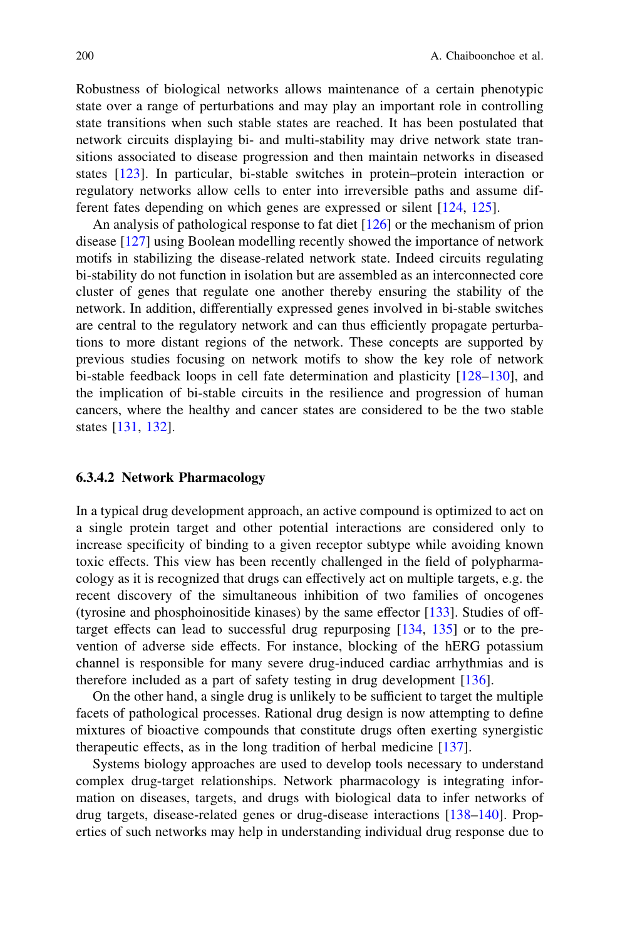Robustness of biological networks allows maintenance of a certain phenotypic state over a range of perturbations and may play an important role in controlling state transitions when such stable states are reached. It has been postulated that network circuits displaying bi- and multi-stability may drive network state transitions associated to disease progression and then maintain networks in diseased states [[123\]](#page-25-0). In particular, bi-stable switches in protein–protein interaction or regulatory networks allow cells to enter into irreversible paths and assume different fates depending on which genes are expressed or silent [\[124](#page-25-0), [125](#page-25-0)].

An analysis of pathological response to fat diet [\[126](#page-25-0)] or the mechanism of prion disease [\[127](#page-25-0)] using Boolean modelling recently showed the importance of network motifs in stabilizing the disease-related network state. Indeed circuits regulating bi-stability do not function in isolation but are assembled as an interconnected core cluster of genes that regulate one another thereby ensuring the stability of the network. In addition, differentially expressed genes involved in bi-stable switches are central to the regulatory network and can thus efficiently propagate perturbations to more distant regions of the network. These concepts are supported by previous studies focusing on network motifs to show the key role of network bi-stable feedback loops in cell fate determination and plasticity [[128–130\]](#page-25-0), and the implication of bi-stable circuits in the resilience and progression of human cancers, where the healthy and cancer states are considered to be the two stable states [[131,](#page-25-0) [132\]](#page-25-0).

#### 6.3.4.2 Network Pharmacology

In a typical drug development approach, an active compound is optimized to act on a single protein target and other potential interactions are considered only to increase specificity of binding to a given receptor subtype while avoiding known toxic effects. This view has been recently challenged in the field of polypharmacology as it is recognized that drugs can effectively act on multiple targets, e.g. the recent discovery of the simultaneous inhibition of two families of oncogenes (tyrosine and phosphoinositide kinases) by the same effector [\[133](#page-26-0)]. Studies of offtarget effects can lead to successful drug repurposing [[134,](#page-26-0) [135](#page-26-0)] or to the prevention of adverse side effects. For instance, blocking of the hERG potassium channel is responsible for many severe drug-induced cardiac arrhythmias and is therefore included as a part of safety testing in drug development [[136\]](#page-26-0).

On the other hand, a single drug is unlikely to be sufficient to target the multiple facets of pathological processes. Rational drug design is now attempting to define mixtures of bioactive compounds that constitute drugs often exerting synergistic therapeutic effects, as in the long tradition of herbal medicine [[137\]](#page-26-0).

Systems biology approaches are used to develop tools necessary to understand complex drug-target relationships. Network pharmacology is integrating information on diseases, targets, and drugs with biological data to infer networks of drug targets, disease-related genes or drug-disease interactions [[138–140\]](#page-26-0). Properties of such networks may help in understanding individual drug response due to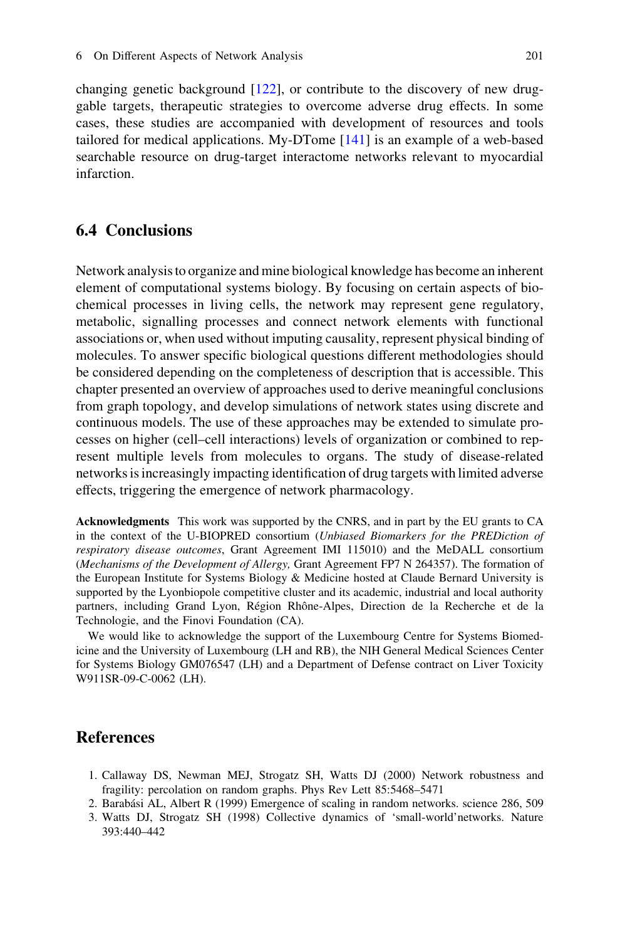<span id="page-20-0"></span>changing genetic background [\[122\]](#page-25-0), or contribute to the discovery of new druggable targets, therapeutic strategies to overcome adverse drug effects. In some cases, these studies are accompanied with development of resources and tools tailored for medical applications. My-DTome [\[141](#page-26-0)] is an example of a web-based searchable resource on drug-target interactome networks relevant to myocardial infarction.

# 6.4 Conclusions

Network analysis to organize and mine biological knowledge has become an inherent element of computational systems biology. By focusing on certain aspects of biochemical processes in living cells, the network may represent gene regulatory, metabolic, signalling processes and connect network elements with functional associations or, when used without imputing causality, represent physical binding of molecules. To answer specific biological questions different methodologies should be considered depending on the completeness of description that is accessible. This chapter presented an overview of approaches used to derive meaningful conclusions from graph topology, and develop simulations of network states using discrete and continuous models. The use of these approaches may be extended to simulate processes on higher (cell–cell interactions) levels of organization or combined to represent multiple levels from molecules to organs. The study of disease-related networks is increasingly impacting identification of drug targets with limited adverse effects, triggering the emergence of network pharmacology.

Acknowledgments This work was supported by the CNRS, and in part by the EU grants to CA in the context of the U-BIOPRED consortium (Unbiased Biomarkers for the PREDiction of respiratory disease outcomes, Grant Agreement IMI 115010) and the MeDALL consortium (Mechanisms of the Development of Allergy, Grant Agreement FP7 N 264357). The formation of the European Institute for Systems Biology & Medicine hosted at Claude Bernard University is supported by the Lyonbiopole competitive cluster and its academic, industrial and local authority partners, including Grand Lyon, Région Rhône-Alpes, Direction de la Recherche et de la Technologie, and the Finovi Foundation (CA).

We would like to acknowledge the support of the Luxembourg Centre for Systems Biomedicine and the University of Luxembourg (LH and RB), the NIH General Medical Sciences Center for Systems Biology GM076547 (LH) and a Department of Defense contract on Liver Toxicity W911SR-09-C-0062 (LH).

# References

- 1. Callaway DS, Newman MEJ, Strogatz SH, Watts DJ (2000) Network robustness and fragility: percolation on random graphs. Phys Rev Lett 85:5468–5471
- 2. Barabási AL, Albert R (1999) Emergence of scaling in random networks. science 286, 509
- 3. Watts DJ, Strogatz SH (1998) Collective dynamics of 'small-world'networks. Nature 393:440–442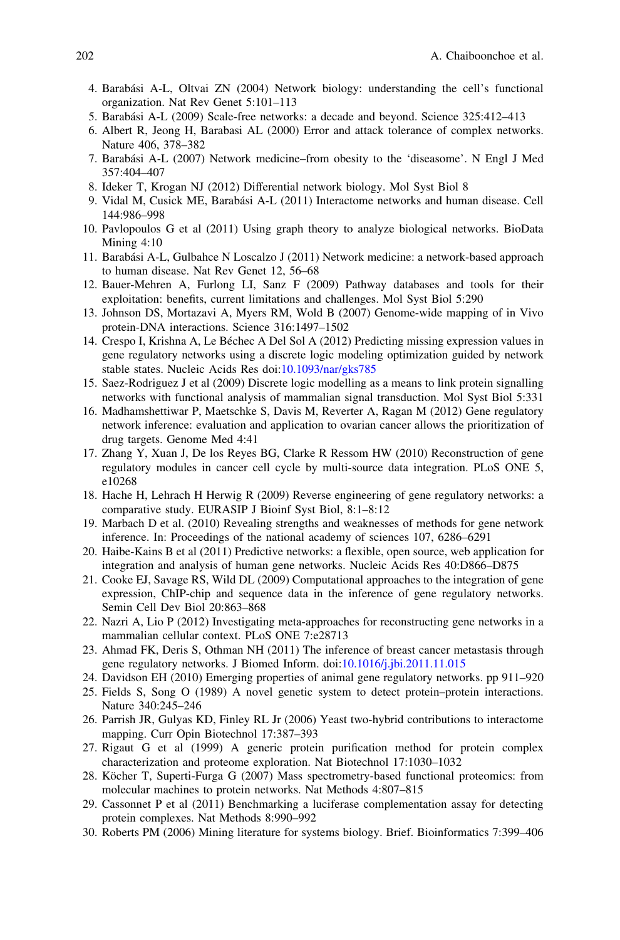- <span id="page-21-0"></span>4. Barabási A-L, Oltvai ZN (2004) Network biology: understanding the cell's functional organization. Nat Rev Genet 5:101–113
- 5. Barabási A-L (2009) Scale-free networks: a decade and beyond. Science 325:412–413
- 6. Albert R, Jeong H, Barabasi AL (2000) Error and attack tolerance of complex networks. Nature 406, 378–382
- 7. Barabási A-L (2007) Network medicine–from obesity to the 'diseasome'. N Engl J Med 357:404–407
- 8. Ideker T, Krogan NJ (2012) Differential network biology. Mol Syst Biol 8
- 9. Vidal M, Cusick ME, Barabási A-L (2011) Interactome networks and human disease. Cell 144:986–998
- 10. Pavlopoulos G et al (2011) Using graph theory to analyze biological networks. BioData Mining 4:10
- 11. Barabási A-L, Gulbahce N Loscalzo J (2011) Network medicine: a network-based approach to human disease. Nat Rev Genet 12, 56–68
- 12. Bauer-Mehren A, Furlong LI, Sanz F (2009) Pathway databases and tools for their exploitation: benefits, current limitations and challenges. Mol Syst Biol 5:290
- 13. Johnson DS, Mortazavi A, Myers RM, Wold B (2007) Genome-wide mapping of in Vivo protein-DNA interactions. Science 316:1497–1502
- 14. Crespo I, Krishna A, Le Béchec A Del Sol A (2012) Predicting missing expression values in gene regulatory networks using a discrete logic modeling optimization guided by network stable states. Nucleic Acids Res doi[:10.1093/nar/gks785](http://dx.doi.org/10.1093/nar/gks785)
- 15. Saez-Rodriguez J et al (2009) Discrete logic modelling as a means to link protein signalling networks with functional analysis of mammalian signal transduction. Mol Syst Biol 5:331
- 16. Madhamshettiwar P, Maetschke S, Davis M, Reverter A, Ragan M (2012) Gene regulatory network inference: evaluation and application to ovarian cancer allows the prioritization of drug targets. Genome Med 4:41
- 17. Zhang Y, Xuan J, De los Reyes BG, Clarke R Ressom HW (2010) Reconstruction of gene regulatory modules in cancer cell cycle by multi-source data integration. PLoS ONE 5, e10268
- 18. Hache H, Lehrach H Herwig R (2009) Reverse engineering of gene regulatory networks: a comparative study. EURASIP J Bioinf Syst Biol, 8:1–8:12
- 19. Marbach D et al. (2010) Revealing strengths and weaknesses of methods for gene network inference. In: Proceedings of the national academy of sciences 107, 6286–6291
- 20. Haibe-Kains B et al (2011) Predictive networks: a flexible, open source, web application for integration and analysis of human gene networks. Nucleic Acids Res 40:D866–D875
- 21. Cooke EJ, Savage RS, Wild DL (2009) Computational approaches to the integration of gene expression, ChIP-chip and sequence data in the inference of gene regulatory networks. Semin Cell Dev Biol 20:863–868
- 22. Nazri A, Lio P (2012) Investigating meta-approaches for reconstructing gene networks in a mammalian cellular context. PLoS ONE 7:e28713
- 23. Ahmad FK, Deris S, Othman NH (2011) The inference of breast cancer metastasis through gene regulatory networks. J Biomed Inform. doi[:10.1016/j.jbi.2011.11.015](http://dx.doi.org/10.1016/j.jbi.2011.11.015)
- 24. Davidson EH (2010) Emerging properties of animal gene regulatory networks. pp 911–920
- 25. Fields S, Song O (1989) A novel genetic system to detect protein–protein interactions. Nature 340:245–246
- 26. Parrish JR, Gulyas KD, Finley RL Jr (2006) Yeast two-hybrid contributions to interactome mapping. Curr Opin Biotechnol 17:387–393
- 27. Rigaut G et al (1999) A generic protein purification method for protein complex characterization and proteome exploration. Nat Biotechnol 17:1030–1032
- 28. Köcher T, Superti-Furga G (2007) Mass spectrometry-based functional proteomics: from molecular machines to protein networks. Nat Methods 4:807–815
- 29. Cassonnet P et al (2011) Benchmarking a luciferase complementation assay for detecting protein complexes. Nat Methods 8:990–992
- 30. Roberts PM (2006) Mining literature for systems biology. Brief. Bioinformatics 7:399–406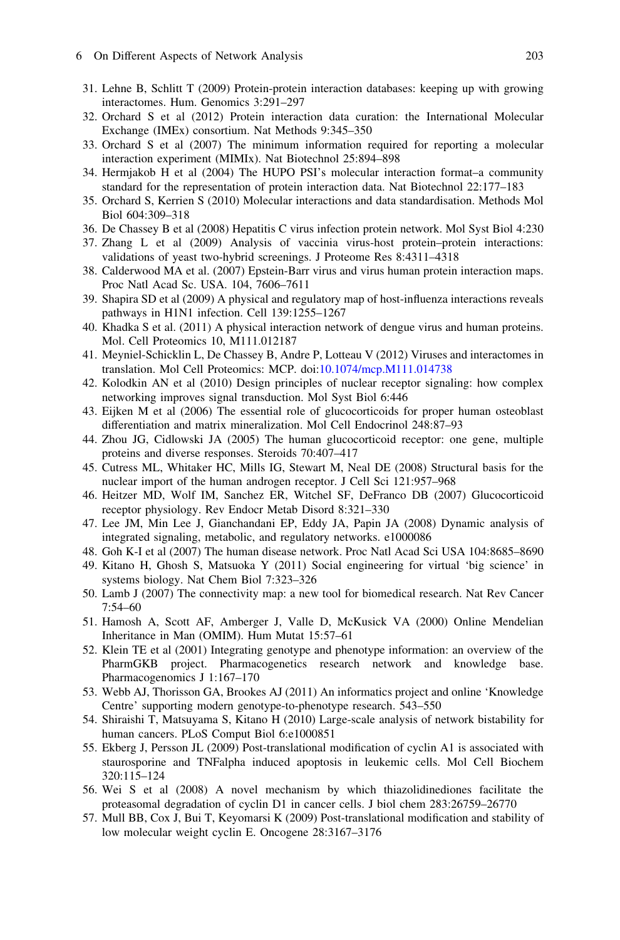- <span id="page-22-0"></span>31. Lehne B, Schlitt T (2009) Protein-protein interaction databases: keeping up with growing interactomes. Hum. Genomics 3:291–297
- 32. Orchard S et al (2012) Protein interaction data curation: the International Molecular Exchange (IMEx) consortium. Nat Methods 9:345–350
- 33. Orchard S et al (2007) The minimum information required for reporting a molecular interaction experiment (MIMIx). Nat Biotechnol 25:894–898
- 34. Hermjakob H et al (2004) The HUPO PSI's molecular interaction format–a community standard for the representation of protein interaction data. Nat Biotechnol 22:177–183
- 35. Orchard S, Kerrien S (2010) Molecular interactions and data standardisation. Methods Mol Biol 604:309–318
- 36. De Chassey B et al (2008) Hepatitis C virus infection protein network. Mol Syst Biol 4:230
- 37. Zhang L et al (2009) Analysis of vaccinia virus-host protein–protein interactions: validations of yeast two-hybrid screenings. J Proteome Res 8:4311–4318
- 38. Calderwood MA et al. (2007) Epstein-Barr virus and virus human protein interaction maps. Proc Natl Acad Sc. USA. 104, 7606–7611
- 39. Shapira SD et al (2009) A physical and regulatory map of host-influenza interactions reveals pathways in H1N1 infection. Cell 139:1255–1267
- 40. Khadka S et al. (2011) A physical interaction network of dengue virus and human proteins. Mol. Cell Proteomics 10, M111.012187
- 41. Meyniel-Schicklin L, De Chassey B, Andre P, Lotteau V (2012) Viruses and interactomes in translation. Mol Cell Proteomics: MCP. doi[:10.1074/mcp.M111.014738](http://dx.doi.org/10.1074/mcp.M111.014738)
- 42. Kolodkin AN et al (2010) Design principles of nuclear receptor signaling: how complex networking improves signal transduction. Mol Syst Biol 6:446
- 43. Eijken M et al (2006) The essential role of glucocorticoids for proper human osteoblast differentiation and matrix mineralization. Mol Cell Endocrinol 248:87–93
- 44. Zhou JG, Cidlowski JA (2005) The human glucocorticoid receptor: one gene, multiple proteins and diverse responses. Steroids 70:407–417
- 45. Cutress ML, Whitaker HC, Mills IG, Stewart M, Neal DE (2008) Structural basis for the nuclear import of the human androgen receptor. J Cell Sci 121:957–968
- 46. Heitzer MD, Wolf IM, Sanchez ER, Witchel SF, DeFranco DB (2007) Glucocorticoid receptor physiology. Rev Endocr Metab Disord 8:321–330
- 47. Lee JM, Min Lee J, Gianchandani EP, Eddy JA, Papin JA (2008) Dynamic analysis of integrated signaling, metabolic, and regulatory networks. e1000086
- 48. Goh K-I et al (2007) The human disease network. Proc Natl Acad Sci USA 104:8685–8690
- 49. Kitano H, Ghosh S, Matsuoka Y (2011) Social engineering for virtual 'big science' in systems biology. Nat Chem Biol 7:323–326
- 50. Lamb J (2007) The connectivity map: a new tool for biomedical research. Nat Rev Cancer 7:54–60
- 51. Hamosh A, Scott AF, Amberger J, Valle D, McKusick VA (2000) Online Mendelian Inheritance in Man (OMIM). Hum Mutat 15:57–61
- 52. Klein TE et al (2001) Integrating genotype and phenotype information: an overview of the PharmGKB project. Pharmacogenetics research network and knowledge base. Pharmacogenomics J 1:167–170
- 53. Webb AJ, Thorisson GA, Brookes AJ (2011) An informatics project and online 'Knowledge Centre' supporting modern genotype-to-phenotype research. 543–550
- 54. Shiraishi T, Matsuyama S, Kitano H (2010) Large-scale analysis of network bistability for human cancers. PLoS Comput Biol 6:e1000851
- 55. Ekberg J, Persson JL (2009) Post-translational modification of cyclin A1 is associated with staurosporine and TNFalpha induced apoptosis in leukemic cells. Mol Cell Biochem 320:115–124
- 56. Wei S et al (2008) A novel mechanism by which thiazolidinediones facilitate the proteasomal degradation of cyclin D1 in cancer cells. J biol chem 283:26759–26770
- 57. Mull BB, Cox J, Bui T, Keyomarsi K (2009) Post-translational modification and stability of low molecular weight cyclin E. Oncogene 28:3167–3176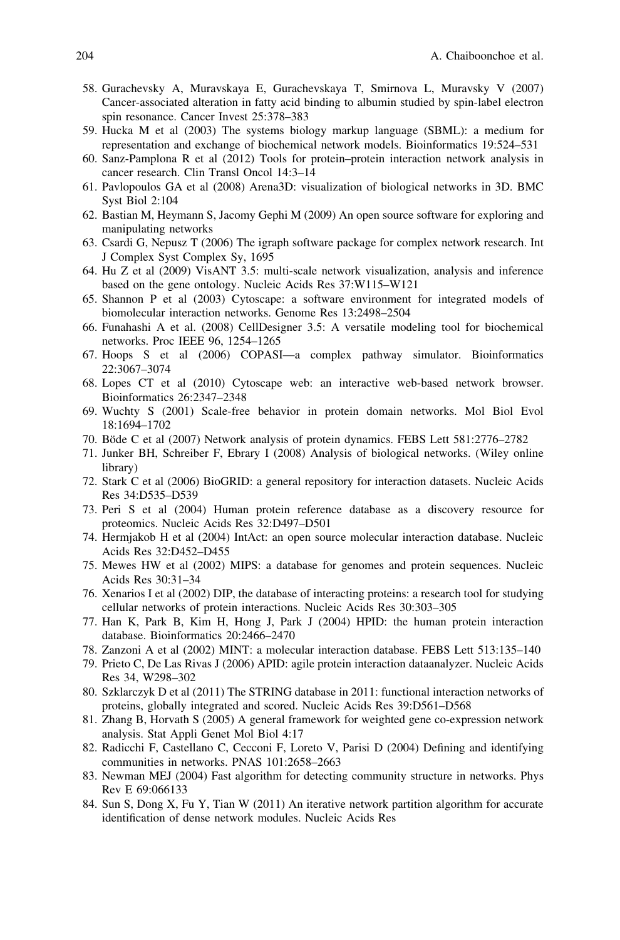- <span id="page-23-0"></span>58. Gurachevsky A, Muravskaya E, Gurachevskaya T, Smirnova L, Muravsky V (2007) Cancer-associated alteration in fatty acid binding to albumin studied by spin-label electron spin resonance. Cancer Invest 25:378–383
- 59. Hucka M et al (2003) The systems biology markup language (SBML): a medium for representation and exchange of biochemical network models. Bioinformatics 19:524–531
- 60. Sanz-Pamplona R et al (2012) Tools for protein–protein interaction network analysis in cancer research. Clin Transl Oncol 14:3–14
- 61. Pavlopoulos GA et al (2008) Arena3D: visualization of biological networks in 3D. BMC Syst Biol 2:104
- 62. Bastian M, Heymann S, Jacomy Gephi M (2009) An open source software for exploring and manipulating networks
- 63. Csardi G, Nepusz T (2006) The igraph software package for complex network research. Int J Complex Syst Complex Sy, 1695
- 64. Hu Z et al (2009) VisANT 3.5: multi-scale network visualization, analysis and inference based on the gene ontology. Nucleic Acids Res 37:W115–W121
- 65. Shannon P et al (2003) Cytoscape: a software environment for integrated models of biomolecular interaction networks. Genome Res 13:2498–2504
- 66. Funahashi A et al. (2008) CellDesigner 3.5: A versatile modeling tool for biochemical networks. Proc IEEE 96, 1254–1265
- 67. Hoops S et al (2006) COPASI—a complex pathway simulator. Bioinformatics 22:3067–3074
- 68. Lopes CT et al (2010) Cytoscape web: an interactive web-based network browser. Bioinformatics 26:2347–2348
- 69. Wuchty S (2001) Scale-free behavior in protein domain networks. Mol Biol Evol 18:1694–1702
- 70. Böde C et al (2007) Network analysis of protein dynamics. FEBS Lett 581:2776–2782
- 71. Junker BH, Schreiber F, Ebrary I (2008) Analysis of biological networks. (Wiley online library)
- 72. Stark C et al (2006) BioGRID: a general repository for interaction datasets. Nucleic Acids Res 34:D535–D539
- 73. Peri S et al (2004) Human protein reference database as a discovery resource for proteomics. Nucleic Acids Res 32:D497–D501
- 74. Hermjakob H et al (2004) IntAct: an open source molecular interaction database. Nucleic Acids Res 32:D452–D455
- 75. Mewes HW et al (2002) MIPS: a database for genomes and protein sequences. Nucleic Acids Res 30:31–34
- 76. Xenarios I et al (2002) DIP, the database of interacting proteins: a research tool for studying cellular networks of protein interactions. Nucleic Acids Res 30:303–305
- 77. Han K, Park B, Kim H, Hong J, Park J (2004) HPID: the human protein interaction database. Bioinformatics 20:2466–2470
- 78. Zanzoni A et al (2002) MINT: a molecular interaction database. FEBS Lett 513:135–140
- 79. Prieto C, De Las Rivas J (2006) APID: agile protein interaction dataanalyzer. Nucleic Acids Res 34, W298–302
- 80. Szklarczyk D et al (2011) The STRING database in 2011: functional interaction networks of proteins, globally integrated and scored. Nucleic Acids Res 39:D561–D568
- 81. Zhang B, Horvath S (2005) A general framework for weighted gene co-expression network analysis. Stat Appli Genet Mol Biol 4:17
- 82. Radicchi F, Castellano C, Cecconi F, Loreto V, Parisi D (2004) Defining and identifying communities in networks. PNAS 101:2658–2663
- 83. Newman MEJ (2004) Fast algorithm for detecting community structure in networks. Phys Rev E 69:066133
- 84. Sun S, Dong X, Fu Y, Tian W (2011) An iterative network partition algorithm for accurate identification of dense network modules. Nucleic Acids Res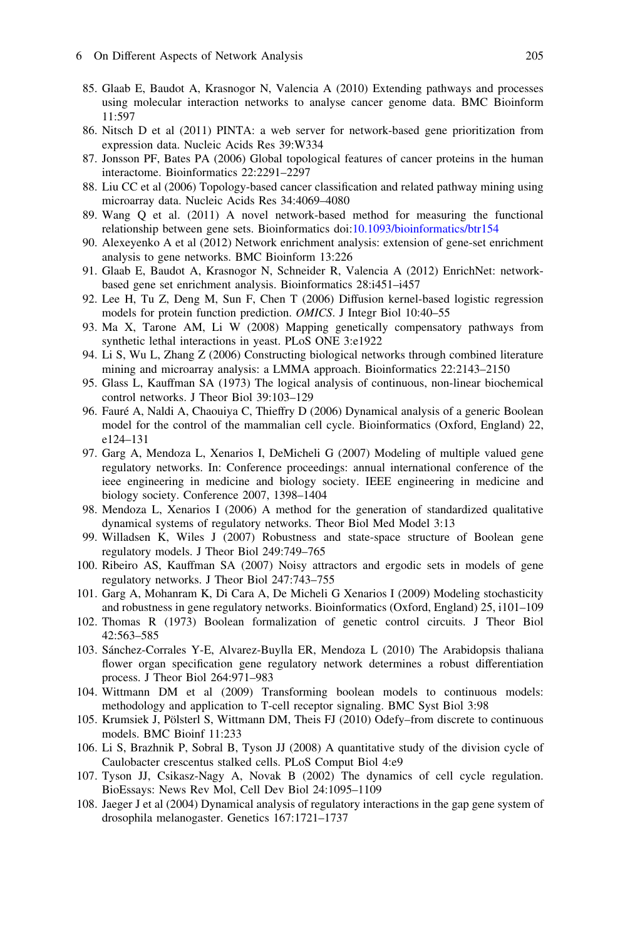- <span id="page-24-0"></span>85. Glaab E, Baudot A, Krasnogor N, Valencia A (2010) Extending pathways and processes using molecular interaction networks to analyse cancer genome data. BMC Bioinform 11:597
- 86. Nitsch D et al (2011) PINTA: a web server for network-based gene prioritization from expression data. Nucleic Acids Res 39:W334
- 87. Jonsson PF, Bates PA (2006) Global topological features of cancer proteins in the human interactome. Bioinformatics 22:2291–2297
- 88. Liu CC et al (2006) Topology-based cancer classification and related pathway mining using microarray data. Nucleic Acids Res 34:4069–4080
- 89. Wang Q et al. (2011) A novel network-based method for measuring the functional relationship between gene sets. Bioinformatics doi:[10.1093/bioinformatics/btr154](http://dx.doi.org/10.1093/bioinformatics/btr154)
- 90. Alexeyenko A et al (2012) Network enrichment analysis: extension of gene-set enrichment analysis to gene networks. BMC Bioinform 13:226
- 91. Glaab E, Baudot A, Krasnogor N, Schneider R, Valencia A (2012) EnrichNet: networkbased gene set enrichment analysis. Bioinformatics 28:i451–i457
- 92. Lee H, Tu Z, Deng M, Sun F, Chen T (2006) Diffusion kernel-based logistic regression models for protein function prediction. OMICS. J Integr Biol 10:40–55
- 93. Ma X, Tarone AM, Li W (2008) Mapping genetically compensatory pathways from synthetic lethal interactions in yeast. PLoS ONE 3:e1922
- 94. Li S, Wu L, Zhang Z (2006) Constructing biological networks through combined literature mining and microarray analysis: a LMMA approach. Bioinformatics 22:2143–2150
- 95. Glass L, Kauffman SA (1973) The logical analysis of continuous, non-linear biochemical control networks. J Theor Biol 39:103–129
- 96. Fauré A, Naldi A, Chaouiya C, Thieffry D (2006) Dynamical analysis of a generic Boolean model for the control of the mammalian cell cycle. Bioinformatics (Oxford, England) 22, e124–131
- 97. Garg A, Mendoza L, Xenarios I, DeMicheli G (2007) Modeling of multiple valued gene regulatory networks. In: Conference proceedings: annual international conference of the ieee engineering in medicine and biology society. IEEE engineering in medicine and biology society. Conference 2007, 1398–1404
- 98. Mendoza L, Xenarios I (2006) A method for the generation of standardized qualitative dynamical systems of regulatory networks. Theor Biol Med Model 3:13
- 99. Willadsen K, Wiles J (2007) Robustness and state-space structure of Boolean gene regulatory models. J Theor Biol 249:749–765
- 100. Ribeiro AS, Kauffman SA (2007) Noisy attractors and ergodic sets in models of gene regulatory networks. J Theor Biol 247:743–755
- 101. Garg A, Mohanram K, Di Cara A, De Micheli G Xenarios I (2009) Modeling stochasticity and robustness in gene regulatory networks. Bioinformatics (Oxford, England) 25, i101–109
- 102. Thomas R (1973) Boolean formalization of genetic control circuits. J Theor Biol 42:563–585
- 103. Sánchez-Corrales Y-E, Alvarez-Buylla ER, Mendoza L (2010) The Arabidopsis thaliana flower organ specification gene regulatory network determines a robust differentiation process. J Theor Biol 264:971–983
- 104. Wittmann DM et al (2009) Transforming boolean models to continuous models: methodology and application to T-cell receptor signaling. BMC Syst Biol 3:98
- 105. Krumsiek J, Pölsterl S, Wittmann DM, Theis FJ (2010) Odefy–from discrete to continuous models. BMC Bioinf 11:233
- 106. Li S, Brazhnik P, Sobral B, Tyson JJ (2008) A quantitative study of the division cycle of Caulobacter crescentus stalked cells. PLoS Comput Biol 4:e9
- 107. Tyson JJ, Csikasz-Nagy A, Novak B (2002) The dynamics of cell cycle regulation. BioEssays: News Rev Mol, Cell Dev Biol 24:1095–1109
- 108. Jaeger J et al (2004) Dynamical analysis of regulatory interactions in the gap gene system of drosophila melanogaster. Genetics 167:1721–1737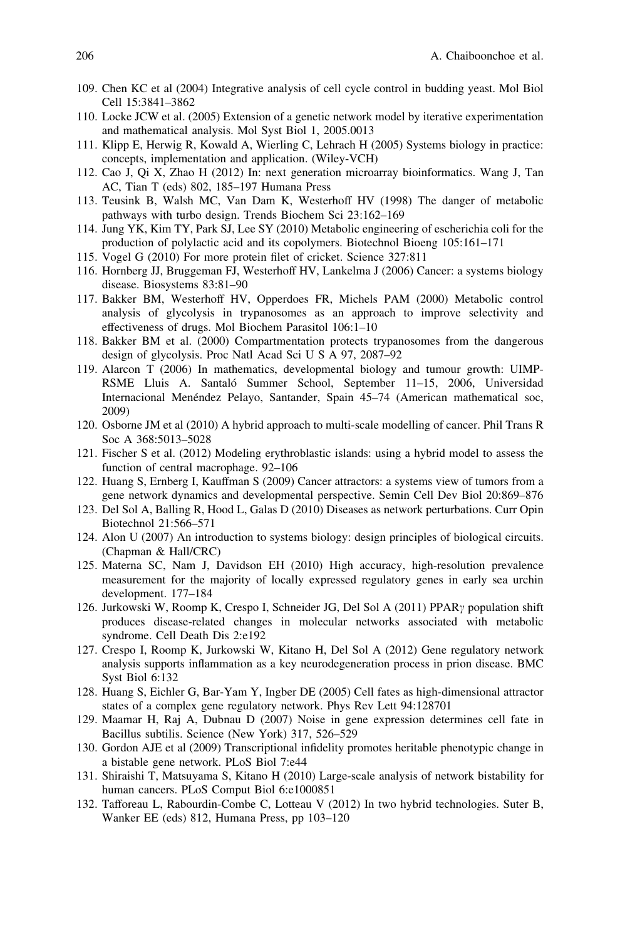- <span id="page-25-0"></span>109. Chen KC et al (2004) Integrative analysis of cell cycle control in budding yeast. Mol Biol Cell 15:3841–3862
- 110. Locke JCW et al. (2005) Extension of a genetic network model by iterative experimentation and mathematical analysis. Mol Syst Biol 1, 2005.0013
- 111. Klipp E, Herwig R, Kowald A, Wierling C, Lehrach H (2005) Systems biology in practice: concepts, implementation and application. (Wiley-VCH)
- 112. Cao J, Qi X, Zhao H (2012) In: next generation microarray bioinformatics. Wang J, Tan AC, Tian T (eds) 802, 185–197 Humana Press
- 113. Teusink B, Walsh MC, Van Dam K, Westerhoff HV (1998) The danger of metabolic pathways with turbo design. Trends Biochem Sci 23:162–169
- 114. Jung YK, Kim TY, Park SJ, Lee SY (2010) Metabolic engineering of escherichia coli for the production of polylactic acid and its copolymers. Biotechnol Bioeng 105:161–171
- 115. Vogel G (2010) For more protein filet of cricket. Science 327:811
- 116. Hornberg JJ, Bruggeman FJ, Westerhoff HV, Lankelma J (2006) Cancer: a systems biology disease. Biosystems 83:81–90
- 117. Bakker BM, Westerhoff HV, Opperdoes FR, Michels PAM (2000) Metabolic control analysis of glycolysis in trypanosomes as an approach to improve selectivity and effectiveness of drugs. Mol Biochem Parasitol 106:1–10
- 118. Bakker BM et al. (2000) Compartmentation protects trypanosomes from the dangerous design of glycolysis. Proc Natl Acad Sci U S A 97, 2087–92
- 119. Alarcon T (2006) In mathematics, developmental biology and tumour growth: UIMP-RSME Lluis A. Santaló Summer School, September 11–15, 2006, Universidad Internacional Menéndez Pelayo, Santander, Spain 45–74 (American mathematical soc, 2009)
- 120. Osborne JM et al (2010) A hybrid approach to multi-scale modelling of cancer. Phil Trans R Soc A 368:5013–5028
- 121. Fischer S et al. (2012) Modeling erythroblastic islands: using a hybrid model to assess the function of central macrophage. 92–106
- 122. Huang S, Ernberg I, Kauffman S (2009) Cancer attractors: a systems view of tumors from a gene network dynamics and developmental perspective. Semin Cell Dev Biol 20:869–876
- 123. Del Sol A, Balling R, Hood L, Galas D (2010) Diseases as network perturbations. Curr Opin Biotechnol 21:566–571
- 124. Alon U (2007) An introduction to systems biology: design principles of biological circuits. (Chapman & Hall/CRC)
- 125. Materna SC, Nam J, Davidson EH (2010) High accuracy, high-resolution prevalence measurement for the majority of locally expressed regulatory genes in early sea urchin development. 177–184
- 126. Jurkowski W, Roomp K, Crespo I, Schneider JG, Del Sol A (2011) PPAR $\gamma$  population shift produces disease-related changes in molecular networks associated with metabolic syndrome. Cell Death Dis 2:e192
- 127. Crespo I, Roomp K, Jurkowski W, Kitano H, Del Sol A (2012) Gene regulatory network analysis supports inflammation as a key neurodegeneration process in prion disease. BMC Syst Biol 6:132
- 128. Huang S, Eichler G, Bar-Yam Y, Ingber DE (2005) Cell fates as high-dimensional attractor states of a complex gene regulatory network. Phys Rev Lett 94:128701
- 129. Maamar H, Raj A, Dubnau D (2007) Noise in gene expression determines cell fate in Bacillus subtilis. Science (New York) 317, 526–529
- 130. Gordon AJE et al (2009) Transcriptional infidelity promotes heritable phenotypic change in a bistable gene network. PLoS Biol 7:e44
- 131. Shiraishi T, Matsuyama S, Kitano H (2010) Large-scale analysis of network bistability for human cancers. PLoS Comput Biol 6:e1000851
- 132. Tafforeau L, Rabourdin-Combe C, Lotteau V (2012) In two hybrid technologies. Suter B, Wanker EE (eds) 812, Humana Press, pp 103–120